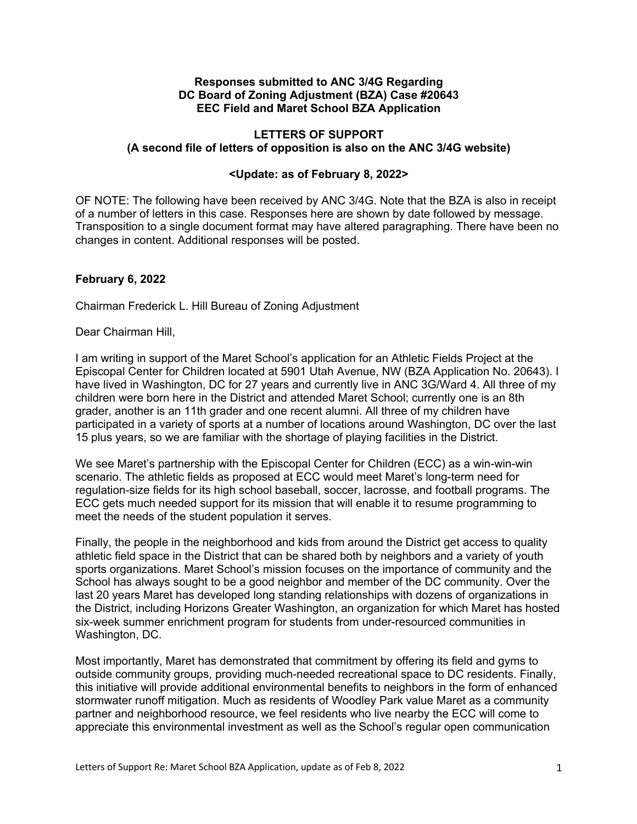### **Responses submitted to ANC 3/4G Regarding DC Board of Zoning Adjustment (BZA) Case #20643 EEC Field and Maret School BZA Application**

# **LETTERS OF SUPPORT (A second file of letters of opposition is also on the ANC 3/4G website)**

### **<Update: as of February 8, 2022>**

OF NOTE: The following have been received by ANC 3/4G. Note that the BZA is also in receipt of a number of letters in this case. Responses here are shown by date followed by message. Transposition to a single document format may have altered paragraphing. There have been no changes in content. Additional responses will be posted.

### **February 6, 2022**

Chairman Frederick L. Hill Bureau of Zoning Adjustment

Dear Chairman Hill,

I am writing in support of the Maret School's application for an Athletic Fields Project at the Episcopal Center for Children located at 5901 Utah Avenue, NW (BZA Application No. 20643). I have lived in Washington, DC for 27 years and currently live in ANC 3G/Ward 4. All three of my children were born here in the District and attended Maret School; currently one is an 8th grader, another is an 11th grader and one recent alumni. All three of my children have participated in a variety of sports at a number of locations around Washington, DC over the last 15 plus years, so we are familiar with the shortage of playing facilities in the District.

We see Maret's partnership with the Episcopal Center for Children (ECC) as a win-win-win scenario. The athletic fields as proposed at ECC would meet Maret's long-term need for regulation-size fields for its high school baseball, soccer, lacrosse, and football programs. The ECC gets much needed support for its mission that will enable it to resume programming to meet the needs of the student population it serves.

Finally, the people in the neighborhood and kids from around the District get access to quality athletic field space in the District that can be shared both by neighbors and a variety of youth sports organizations. Maret School's mission focuses on the importance of community and the School has always sought to be a good neighbor and member of the DC community. Over the last 20 years Maret has developed long standing relationships with dozens of organizations in the District, including Horizons Greater Washington, an organization for which Maret has hosted six-week summer enrichment program for students from under-resourced communities in Washington, DC.

Most importantly, Maret has demonstrated that commitment by offering its field and gyms to outside community groups, providing much-needed recreational space to DC residents. Finally, this initiative will provide additional environmental benefits to neighbors in the form of enhanced stormwater runoff mitigation. Much as residents of Woodley Park value Maret as a community partner and neighborhood resource, we feel residents who live nearby the ECC will come to appreciate this environmental investment as well as the School's regular open communication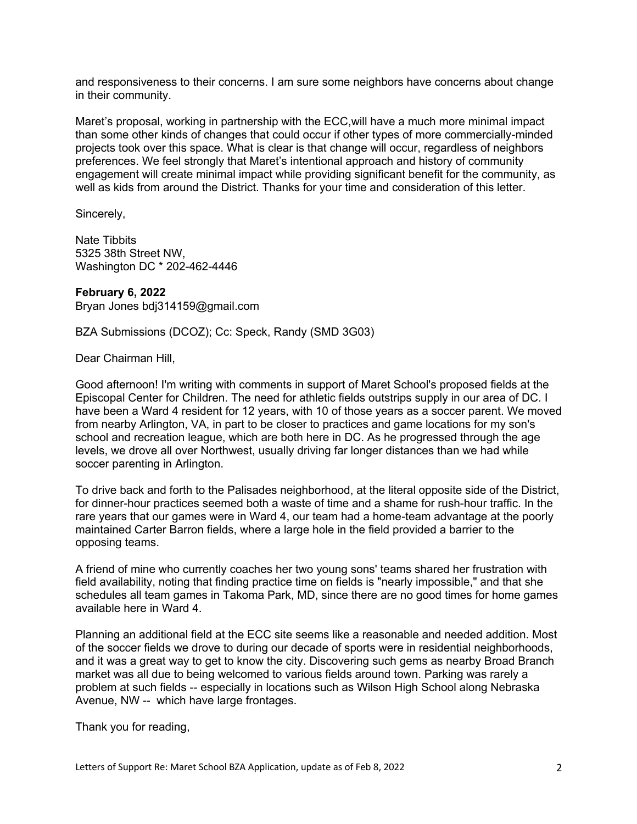and responsiveness to their concerns. I am sure some neighbors have concerns about change in their community.

Maret's proposal, working in partnership with the ECC,will have a much more minimal impact than some other kinds of changes that could occur if other types of more commercially-minded projects took over this space. What is clear is that change will occur, regardless of neighbors preferences. We feel strongly that Maret's intentional approach and history of community engagement will create minimal impact while providing significant benefit for the community, as well as kids from around the District. Thanks for your time and consideration of this letter.

Sincerely,

Nate Tibbits 5325 38th Street NW, Washington DC \* 202-462-4446

**February 6, 2022** Bryan Jones bdj314159@gmail.com

BZA Submissions (DCOZ); Cc: Speck, Randy (SMD 3G03)

Dear Chairman Hill,

Good afternoon! I'm writing with comments in support of Maret School's proposed fields at the Episcopal Center for Children. The need for athletic fields outstrips supply in our area of DC. I have been a Ward 4 resident for 12 years, with 10 of those years as a soccer parent. We moved from nearby Arlington, VA, in part to be closer to practices and game locations for my son's school and recreation league, which are both here in DC. As he progressed through the age levels, we drove all over Northwest, usually driving far longer distances than we had while soccer parenting in Arlington.

To drive back and forth to the Palisades neighborhood, at the literal opposite side of the District, for dinner-hour practices seemed both a waste of time and a shame for rush-hour traffic. In the rare years that our games were in Ward 4, our team had a home-team advantage at the poorly maintained Carter Barron fields, where a large hole in the field provided a barrier to the opposing teams.

A friend of mine who currently coaches her two young sons' teams shared her frustration with field availability, noting that finding practice time on fields is "nearly impossible," and that she schedules all team games in Takoma Park, MD, since there are no good times for home games available here in Ward 4.

Planning an additional field at the ECC site seems like a reasonable and needed addition. Most of the soccer fields we drove to during our decade of sports were in residential neighborhoods, and it was a great way to get to know the city. Discovering such gems as nearby Broad Branch market was all due to being welcomed to various fields around town. Parking was rarely a problem at such fields -- especially in locations such as Wilson High School along Nebraska Avenue, NW -- which have large frontages.

Thank you for reading,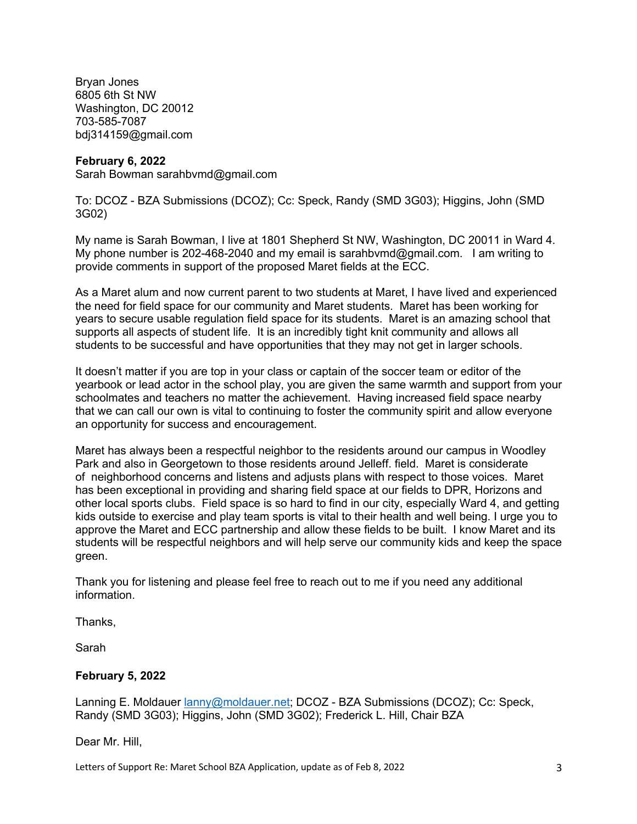Bryan Jones 6805 6th St NW Washington, DC 20012 703-585-7087 bdj314159@gmail.com

### **February 6, 2022**

Sarah Bowman sarahbvmd@gmail.com

To: DCOZ - BZA Submissions (DCOZ); Cc: Speck, Randy (SMD 3G03); Higgins, John (SMD 3G02)

My name is Sarah Bowman, I live at 1801 Shepherd St NW, Washington, DC 20011 in Ward 4. My phone number is 202-468-2040 and my email is sarahbvmd@gmail.com. I am writing to provide comments in support of the proposed Maret fields at the ECC.

As a Maret alum and now current parent to two students at Maret, I have lived and experienced the need for field space for our community and Maret students. Maret has been working for years to secure usable regulation field space for its students. Maret is an amazing school that supports all aspects of student life. It is an incredibly tight knit community and allows all students to be successful and have opportunities that they may not get in larger schools.

It doesn't matter if you are top in your class or captain of the soccer team or editor of the yearbook or lead actor in the school play, you are given the same warmth and support from your schoolmates and teachers no matter the achievement. Having increased field space nearby that we can call our own is vital to continuing to foster the community spirit and allow everyone an opportunity for success and encouragement.

Maret has always been a respectful neighbor to the residents around our campus in Woodley Park and also in Georgetown to those residents around Jelleff. field. Maret is considerate of neighborhood concerns and listens and adjusts plans with respect to those voices. Maret has been exceptional in providing and sharing field space at our fields to DPR, Horizons and other local sports clubs. Field space is so hard to find in our city, especially Ward 4, and getting kids outside to exercise and play team sports is vital to their health and well being. I urge you to approve the Maret and ECC partnership and allow these fields to be built. I know Maret and its students will be respectful neighbors and will help serve our community kids and keep the space green.

Thank you for listening and please feel free to reach out to me if you need any additional information.

Thanks,

Sarah

# **February 5, 2022**

Lanning E. Moldauer lanny@moldauer.net; DCOZ - BZA Submissions (DCOZ); Cc: Speck, Randy (SMD 3G03); Higgins, John (SMD 3G02); Frederick L. Hill, Chair BZA

Dear Mr. Hill,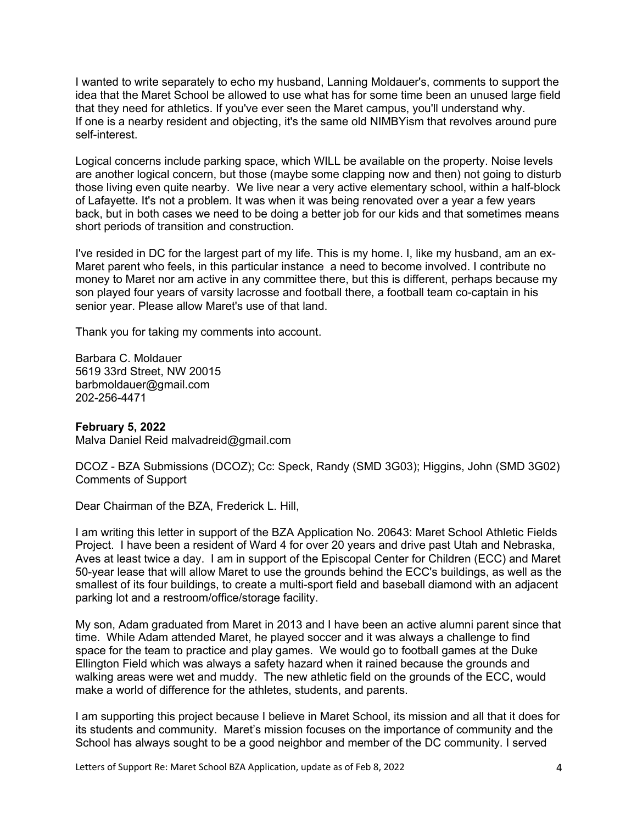I wanted to write separately to echo my husband, Lanning Moldauer's, comments to support the idea that the Maret School be allowed to use what has for some time been an unused large field that they need for athletics. If you've ever seen the Maret campus, you'll understand why. If one is a nearby resident and objecting, it's the same old NIMBYism that revolves around pure self-interest.

Logical concerns include parking space, which WILL be available on the property. Noise levels are another logical concern, but those (maybe some clapping now and then) not going to disturb those living even quite nearby. We live near a very active elementary school, within a half-block of Lafayette. It's not a problem. It was when it was being renovated over a year a few years back, but in both cases we need to be doing a better job for our kids and that sometimes means short periods of transition and construction.

I've resided in DC for the largest part of my life. This is my home. I, like my husband, am an ex-Maret parent who feels, in this particular instance a need to become involved. I contribute no money to Maret nor am active in any committee there, but this is different, perhaps because my son played four years of varsity lacrosse and football there, a football team co-captain in his senior year. Please allow Maret's use of that land.

Thank you for taking my comments into account.

Barbara C. Moldauer 5619 33rd Street, NW 20015 barbmoldauer@gmail.com 202-256-4471

### **February 5, 2022**

Malva Daniel Reid malvadreid@gmail.com

DCOZ - BZA Submissions (DCOZ); Cc: Speck, Randy (SMD 3G03); Higgins, John (SMD 3G02) Comments of Support

Dear Chairman of the BZA, Frederick L. Hill,

I am writing this letter in support of the BZA Application No. 20643: Maret School Athletic Fields Project. I have been a resident of Ward 4 for over 20 years and drive past Utah and Nebraska, Aves at least twice a day. I am in support of the Episcopal Center for Children (ECC) and Maret 50-year lease that will allow Maret to use the grounds behind the ECC's buildings, as well as the smallest of its four buildings, to create a multi-sport field and baseball diamond with an adjacent parking lot and a restroom/office/storage facility.

My son, Adam graduated from Maret in 2013 and I have been an active alumni parent since that time. While Adam attended Maret, he played soccer and it was always a challenge to find space for the team to practice and play games. We would go to football games at the Duke Ellington Field which was always a safety hazard when it rained because the grounds and walking areas were wet and muddy. The new athletic field on the grounds of the ECC, would make a world of difference for the athletes, students, and parents.

I am supporting this project because I believe in Maret School, its mission and all that it does for its students and community. Maret's mission focuses on the importance of community and the School has always sought to be a good neighbor and member of the DC community. I served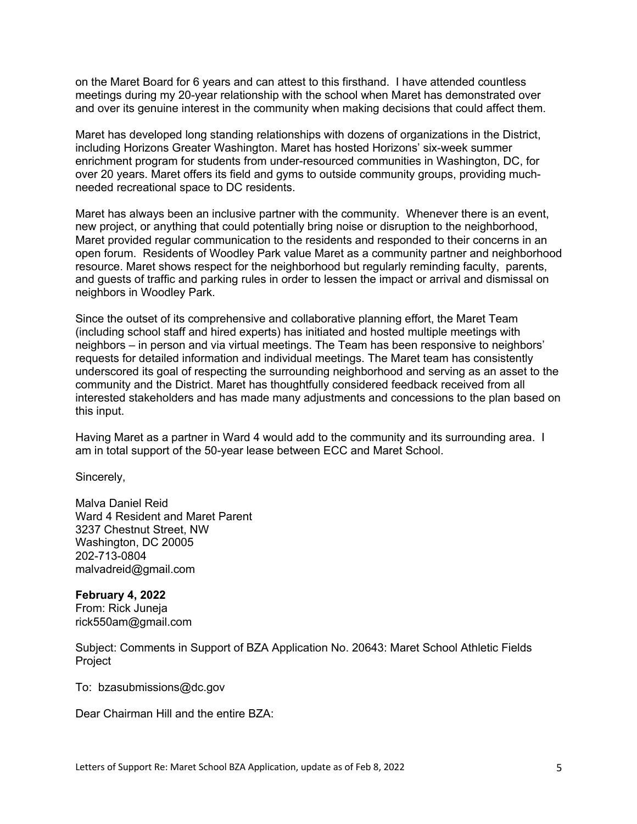on the Maret Board for 6 years and can attest to this firsthand. I have attended countless meetings during my 20-year relationship with the school when Maret has demonstrated over and over its genuine interest in the community when making decisions that could affect them.

Maret has developed long standing relationships with dozens of organizations in the District, including Horizons Greater Washington. Maret has hosted Horizons' six-week summer enrichment program for students from under-resourced communities in Washington, DC, for over 20 years. Maret offers its field and gyms to outside community groups, providing muchneeded recreational space to DC residents.

Maret has always been an inclusive partner with the community. Whenever there is an event, new project, or anything that could potentially bring noise or disruption to the neighborhood, Maret provided regular communication to the residents and responded to their concerns in an open forum. Residents of Woodley Park value Maret as a community partner and neighborhood resource. Maret shows respect for the neighborhood but regularly reminding faculty, parents, and guests of traffic and parking rules in order to lessen the impact or arrival and dismissal on neighbors in Woodley Park.

Since the outset of its comprehensive and collaborative planning effort, the Maret Team (including school staff and hired experts) has initiated and hosted multiple meetings with neighbors – in person and via virtual meetings. The Team has been responsive to neighbors' requests for detailed information and individual meetings. The Maret team has consistently underscored its goal of respecting the surrounding neighborhood and serving as an asset to the community and the District. Maret has thoughtfully considered feedback received from all interested stakeholders and has made many adjustments and concessions to the plan based on this input.

Having Maret as a partner in Ward 4 would add to the community and its surrounding area. I am in total support of the 50-year lease between ECC and Maret School.

Sincerely,

Malva Daniel Reid Ward 4 Resident and Maret Parent 3237 Chestnut Street, NW Washington, DC 20005 202-713-0804 malvadreid@gmail.com

# **February 4, 2022**

From: Rick Juneja rick550am@gmail.com

Subject: Comments in Support of BZA Application No. 20643: Maret School Athletic Fields Project

To: bzasubmissions@dc.gov

Dear Chairman Hill and the entire BZA: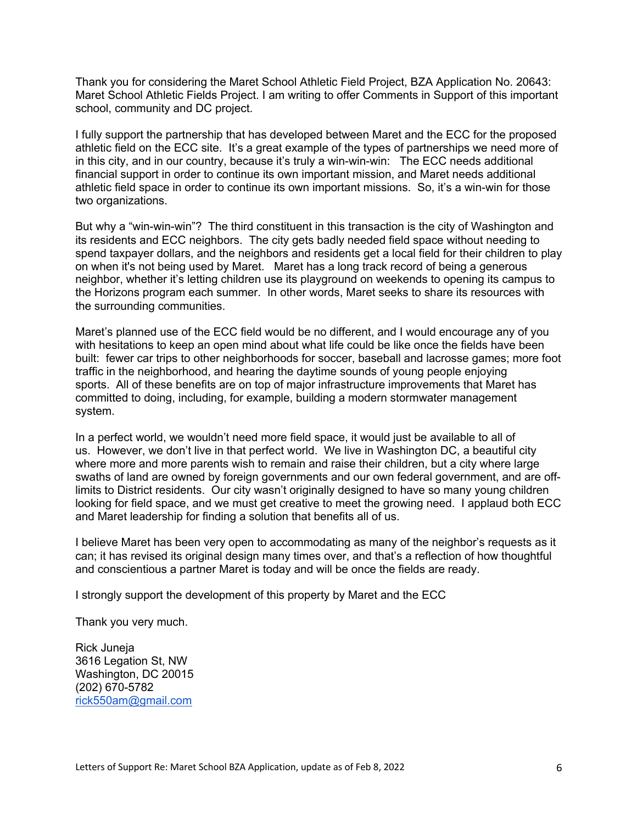Thank you for considering the Maret School Athletic Field Project, BZA Application No. 20643: Maret School Athletic Fields Project. I am writing to offer Comments in Support of this important school, community and DC project.

I fully support the partnership that has developed between Maret and the ECC for the proposed athletic field on the ECC site. It's a great example of the types of partnerships we need more of in this city, and in our country, because it's truly a win-win-win: The ECC needs additional financial support in order to continue its own important mission, and Maret needs additional athletic field space in order to continue its own important missions. So, it's a win-win for those two organizations.

But why a "win-win-win"? The third constituent in this transaction is the city of Washington and its residents and ECC neighbors. The city gets badly needed field space without needing to spend taxpayer dollars, and the neighbors and residents get a local field for their children to play on when it's not being used by Maret. Maret has a long track record of being a generous neighbor, whether it's letting children use its playground on weekends to opening its campus to the Horizons program each summer. In other words, Maret seeks to share its resources with the surrounding communities.

Maret's planned use of the ECC field would be no different, and I would encourage any of you with hesitations to keep an open mind about what life could be like once the fields have been built: fewer car trips to other neighborhoods for soccer, baseball and lacrosse games; more foot traffic in the neighborhood, and hearing the daytime sounds of young people enjoying sports. All of these benefits are on top of major infrastructure improvements that Maret has committed to doing, including, for example, building a modern stormwater management system.

In a perfect world, we wouldn't need more field space, it would just be available to all of us. However, we don't live in that perfect world. We live in Washington DC, a beautiful city where more and more parents wish to remain and raise their children, but a city where large swaths of land are owned by foreign governments and our own federal government, and are offlimits to District residents. Our city wasn't originally designed to have so many young children looking for field space, and we must get creative to meet the growing need. I applaud both ECC and Maret leadership for finding a solution that benefits all of us.

I believe Maret has been very open to accommodating as many of the neighbor's requests as it can; it has revised its original design many times over, and that's a reflection of how thoughtful and conscientious a partner Maret is today and will be once the fields are ready.

I strongly support the development of this property by Maret and the ECC

Thank you very much.

Rick Juneja 3616 Legation St, NW Washington, DC 20015 (202) 670-5782 rick550am@gmail.com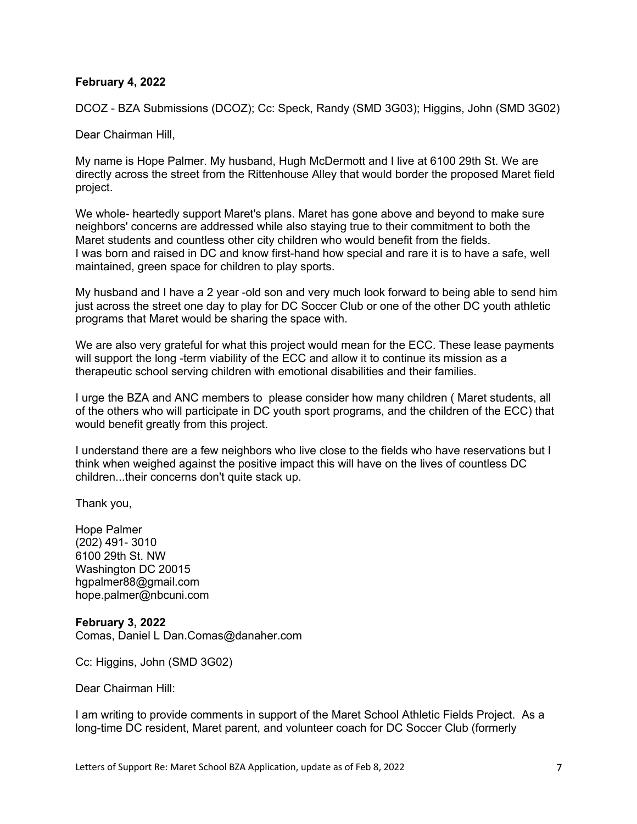### **February 4, 2022**

DCOZ - BZA Submissions (DCOZ); Cc: Speck, Randy (SMD 3G03); Higgins, John (SMD 3G02)

Dear Chairman Hill,

My name is Hope Palmer. My husband, Hugh McDermott and I live at 6100 29th St. We are directly across the street from the Rittenhouse Alley that would border the proposed Maret field project.

We whole- heartedly support Maret's plans. Maret has gone above and beyond to make sure neighbors' concerns are addressed while also staying true to their commitment to both the Maret students and countless other city children who would benefit from the fields. I was born and raised in DC and know first-hand how special and rare it is to have a safe, well maintained, green space for children to play sports.

My husband and I have a 2 year -old son and very much look forward to being able to send him just across the street one day to play for DC Soccer Club or one of the other DC youth athletic programs that Maret would be sharing the space with.

We are also very grateful for what this project would mean for the ECC. These lease payments will support the long -term viability of the ECC and allow it to continue its mission as a therapeutic school serving children with emotional disabilities and their families.

I urge the BZA and ANC members to please consider how many children ( Maret students, all of the others who will participate in DC youth sport programs, and the children of the ECC) that would benefit greatly from this project.

I understand there are a few neighbors who live close to the fields who have reservations but I think when weighed against the positive impact this will have on the lives of countless DC children...their concerns don't quite stack up.

Thank you,

Hope Palmer (202) 491- 3010 6100 29th St. NW Washington DC 20015 hgpalmer88@gmail.com hope.palmer@nbcuni.com

### **February 3, 2022**

Comas, Daniel L Dan.Comas@danaher.com

Cc: Higgins, John (SMD 3G02)

Dear Chairman Hill:

I am writing to provide comments in support of the Maret School Athletic Fields Project. As a long-time DC resident, Maret parent, and volunteer coach for DC Soccer Club (formerly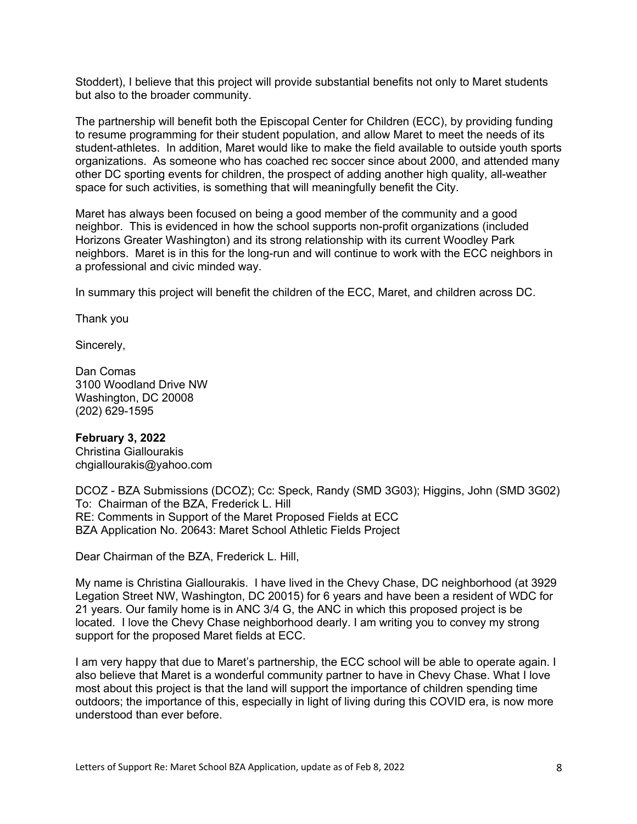Stoddert), I believe that this project will provide substantial benefits not only to Maret students but also to the broader community.

The partnership will benefit both the Episcopal Center for Children (ECC), by providing funding to resume programming for their student population, and allow Maret to meet the needs of its student-athletes. In addition, Maret would like to make the field available to outside youth sports organizations. As someone who has coached rec soccer since about 2000, and attended many other DC sporting events for children, the prospect of adding another high quality, all-weather space for such activities, is something that will meaningfully benefit the City.

Maret has always been focused on being a good member of the community and a good neighbor. This is evidenced in how the school supports non-profit organizations (included Horizons Greater Washington) and its strong relationship with its current Woodley Park neighbors. Maret is in this for the long-run and will continue to work with the ECC neighbors in a professional and civic minded way.

In summary this project will benefit the children of the ECC, Maret, and children across DC.

Thank you

Sincerely,

Dan Comas 3100 Woodland Drive NW Washington, DC 20008 (202) 629-1595

#### **February 3, 2022**

Christina Giallourakis chgiallourakis@yahoo.com

DCOZ - BZA Submissions (DCOZ); Cc: Speck, Randy (SMD 3G03); Higgins, John (SMD 3G02) To: Chairman of the BZA, Frederick L. Hill RE: Comments in Support of the Maret Proposed Fields at ECC BZA Application No. 20643: Maret School Athletic Fields Project

Dear Chairman of the BZA, Frederick L. Hill,

My name is Christina Giallourakis. I have lived in the Chevy Chase, DC neighborhood (at 3929 Legation Street NW, Washington, DC 20015) for 6 years and have been a resident of WDC for 21 years. Our family home is in ANC 3/4 G, the ANC in which this proposed project is be located. I love the Chevy Chase neighborhood dearly. I am writing you to convey my strong support for the proposed Maret fields at ECC.

I am very happy that due to Maret's partnership, the ECC school will be able to operate again. I also believe that Maret is a wonderful community partner to have in Chevy Chase. What I love most about this project is that the land will support the importance of children spending time outdoors; the importance of this, especially in light of living during this COVID era, is now more understood than ever before.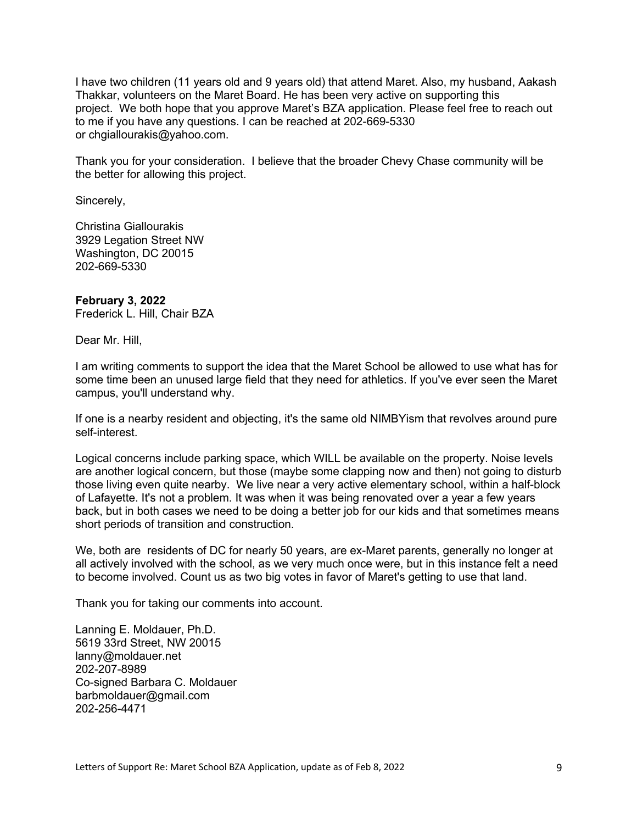I have two children (11 years old and 9 years old) that attend Maret. Also, my husband, Aakash Thakkar, volunteers on the Maret Board. He has been very active on supporting this project. We both hope that you approve Maret's BZA application. Please feel free to reach out to me if you have any questions. I can be reached at 202-669-5330 or chgiallourakis@yahoo.com.

Thank you for your consideration. I believe that the broader Chevy Chase community will be the better for allowing this project.

Sincerely,

Christina Giallourakis 3929 Legation Street NW Washington, DC 20015 202-669-5330

### **February 3, 2022**

Frederick L. Hill, Chair BZA

Dear Mr. Hill,

I am writing comments to support the idea that the Maret School be allowed to use what has for some time been an unused large field that they need for athletics. If you've ever seen the Maret campus, you'll understand why.

If one is a nearby resident and objecting, it's the same old NIMBYism that revolves around pure self-interest.

Logical concerns include parking space, which WILL be available on the property. Noise levels are another logical concern, but those (maybe some clapping now and then) not going to disturb those living even quite nearby. We live near a very active elementary school, within a half-block of Lafayette. It's not a problem. It was when it was being renovated over a year a few years back, but in both cases we need to be doing a better job for our kids and that sometimes means short periods of transition and construction.

We, both are residents of DC for nearly 50 years, are ex-Maret parents, generally no longer at all actively involved with the school, as we very much once were, but in this instance felt a need to become involved. Count us as two big votes in favor of Maret's getting to use that land.

Thank you for taking our comments into account.

Lanning E. Moldauer, Ph.D. 5619 33rd Street, NW 20015 lanny@moldauer.net 202-207-8989 Co-signed Barbara C. Moldauer barbmoldauer@gmail.com 202-256-4471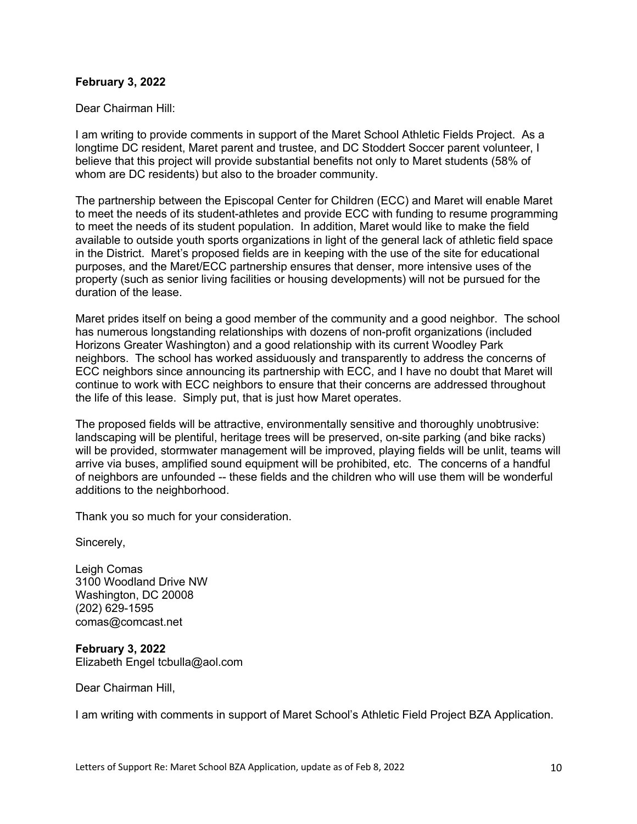### **February 3, 2022**

Dear Chairman Hill:

I am writing to provide comments in support of the Maret School Athletic Fields Project. As a longtime DC resident, Maret parent and trustee, and DC Stoddert Soccer parent volunteer, I believe that this project will provide substantial benefits not only to Maret students (58% of whom are DC residents) but also to the broader community.

The partnership between the Episcopal Center for Children (ECC) and Maret will enable Maret to meet the needs of its student-athletes and provide ECC with funding to resume programming to meet the needs of its student population. In addition, Maret would like to make the field available to outside youth sports organizations in light of the general lack of athletic field space in the District. Maret's proposed fields are in keeping with the use of the site for educational purposes, and the Maret/ECC partnership ensures that denser, more intensive uses of the property (such as senior living facilities or housing developments) will not be pursued for the duration of the lease.

Maret prides itself on being a good member of the community and a good neighbor. The school has numerous longstanding relationships with dozens of non-profit organizations (included Horizons Greater Washington) and a good relationship with its current Woodley Park neighbors. The school has worked assiduously and transparently to address the concerns of ECC neighbors since announcing its partnership with ECC, and I have no doubt that Maret will continue to work with ECC neighbors to ensure that their concerns are addressed throughout the life of this lease. Simply put, that is just how Maret operates.

The proposed fields will be attractive, environmentally sensitive and thoroughly unobtrusive: landscaping will be plentiful, heritage trees will be preserved, on-site parking (and bike racks) will be provided, stormwater management will be improved, playing fields will be unlit, teams will arrive via buses, amplified sound equipment will be prohibited, etc. The concerns of a handful of neighbors are unfounded -- these fields and the children who will use them will be wonderful additions to the neighborhood.

Thank you so much for your consideration.

Sincerely,

Leigh Comas 3100 Woodland Drive NW Washington, DC 20008 (202) 629-1595 comas@comcast.net

**February 3, 2022** Elizabeth Engel tcbulla@aol.com

Dear Chairman Hill,

I am writing with comments in support of Maret School's Athletic Field Project BZA Application.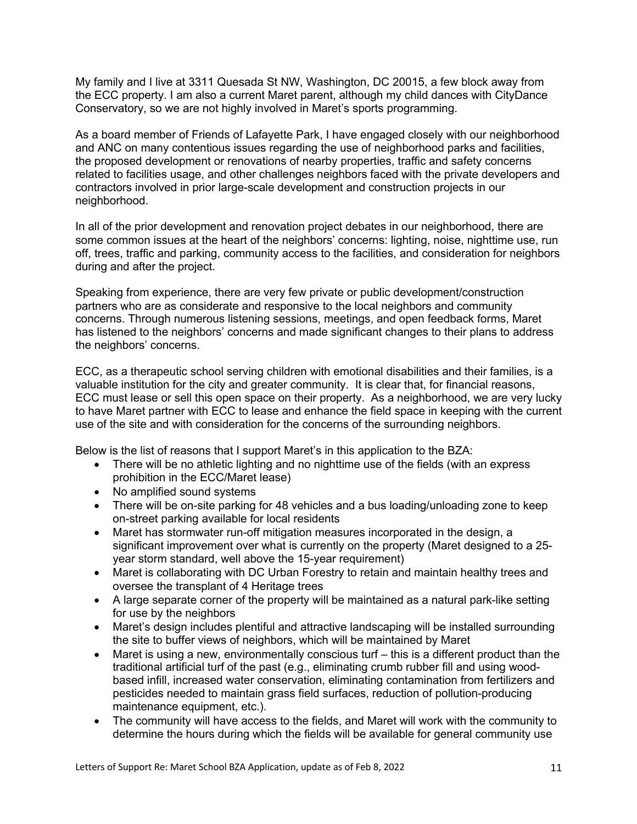My family and I live at 3311 Quesada St NW, Washington, DC 20015, a few block away from the ECC property. I am also a current Maret parent, although my child dances with CityDance Conservatory, so we are not highly involved in Maret's sports programming.

As a board member of Friends of Lafayette Park, I have engaged closely with our neighborhood and ANC on many contentious issues regarding the use of neighborhood parks and facilities, the proposed development or renovations of nearby properties, traffic and safety concerns related to facilities usage, and other challenges neighbors faced with the private developers and contractors involved in prior large-scale development and construction projects in our neighborhood.

In all of the prior development and renovation project debates in our neighborhood, there are some common issues at the heart of the neighbors' concerns: lighting, noise, nighttime use, run off, trees, traffic and parking, community access to the facilities, and consideration for neighbors during and after the project.

Speaking from experience, there are very few private or public development/construction partners who are as considerate and responsive to the local neighbors and community concerns. Through numerous listening sessions, meetings, and open feedback forms, Maret has listened to the neighbors' concerns and made significant changes to their plans to address the neighbors' concerns.

ECC, as a therapeutic school serving children with emotional disabilities and their families, is a valuable institution for the city and greater community. It is clear that, for financial reasons, ECC must lease or sell this open space on their property. As a neighborhood, we are very lucky to have Maret partner with ECC to lease and enhance the field space in keeping with the current use of the site and with consideration for the concerns of the surrounding neighbors.

Below is the list of reasons that I support Maret's in this application to the BZA:

- There will be no athletic lighting and no nighttime use of the fields (with an express prohibition in the ECC/Maret lease)
- No amplified sound systems
- There will be on-site parking for 48 vehicles and a bus loading/unloading zone to keep on-street parking available for local residents
- Maret has stormwater run-off mitigation measures incorporated in the design, a significant improvement over what is currently on the property (Maret designed to a 25 year storm standard, well above the 15-year requirement)
- Maret is collaborating with DC Urban Forestry to retain and maintain healthy trees and oversee the transplant of 4 Heritage trees
- A large separate corner of the property will be maintained as a natural park-like setting for use by the neighbors
- Maret's design includes plentiful and attractive landscaping will be installed surrounding the site to buffer views of neighbors, which will be maintained by Maret
- Maret is using a new, environmentally conscious turf this is a different product than the traditional artificial turf of the past (e.g., eliminating crumb rubber fill and using woodbased infill, increased water conservation, eliminating contamination from fertilizers and pesticides needed to maintain grass field surfaces, reduction of pollution-producing maintenance equipment, etc.).
- The community will have access to the fields, and Maret will work with the community to determine the hours during which the fields will be available for general community use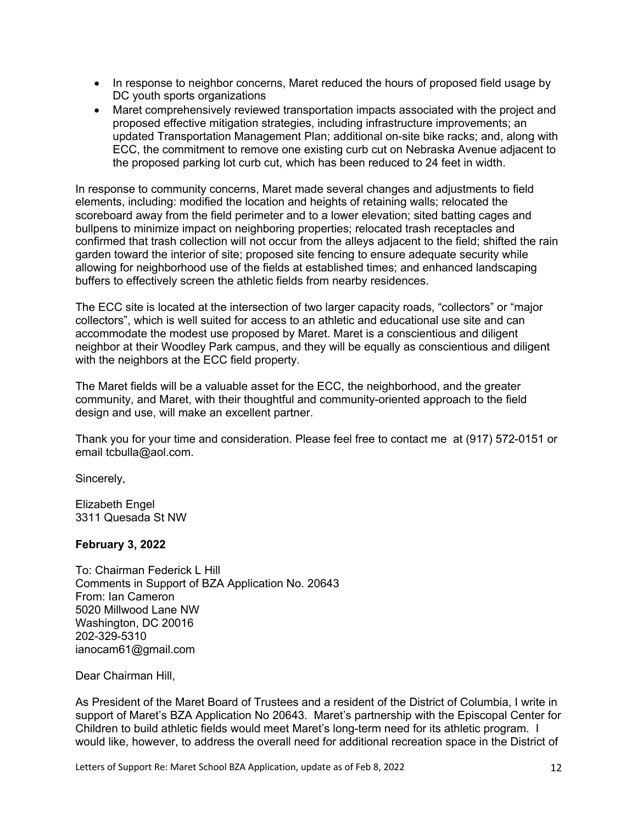- In response to neighbor concerns, Maret reduced the hours of proposed field usage by DC youth sports organizations
- Maret comprehensively reviewed transportation impacts associated with the project and proposed effective mitigation strategies, including infrastructure improvements; an updated Transportation Management Plan; additional on-site bike racks; and, along with ECC, the commitment to remove one existing curb cut on Nebraska Avenue adjacent to the proposed parking lot curb cut, which has been reduced to 24 feet in width.

In response to community concerns, Maret made several changes and adjustments to field elements, including: modified the location and heights of retaining walls; relocated the scoreboard away from the field perimeter and to a lower elevation; sited batting cages and bullpens to minimize impact on neighboring properties; relocated trash receptacles and confirmed that trash collection will not occur from the alleys adjacent to the field; shifted the rain garden toward the interior of site; proposed site fencing to ensure adequate security while allowing for neighborhood use of the fields at established times; and enhanced landscaping buffers to effectively screen the athletic fields from nearby residences.

The ECC site is located at the intersection of two larger capacity roads, "collectors" or "major collectors", which is well suited for access to an athletic and educational use site and can accommodate the modest use proposed by Maret. Maret is a conscientious and diligent neighbor at their Woodley Park campus, and they will be equally as conscientious and diligent with the neighbors at the ECC field property.

The Maret fields will be a valuable asset for the ECC, the neighborhood, and the greater community, and Maret, with their thoughtful and community-oriented approach to the field design and use, will make an excellent partner.

Thank you for your time and consideration. Please feel free to contact me at (917) 572-0151 or email tcbulla@aol.com.

Sincerely,

Elizabeth Engel 3311 Quesada St NW

# **February 3, 2022**

To: Chairman Federick L Hill Comments in Support of BZA Application No. 20643 From: Ian Cameron 5020 Millwood Lane NW Washington, DC 20016 202-329-5310 ianocam61@gmail.com

Dear Chairman Hill,

As President of the Maret Board of Trustees and a resident of the District of Columbia, I write in support of Maret's BZA Application No 20643. Maret's partnership with the Episcopal Center for Children to build athletic fields would meet Maret's long-term need for its athletic program. I would like, however, to address the overall need for additional recreation space in the District of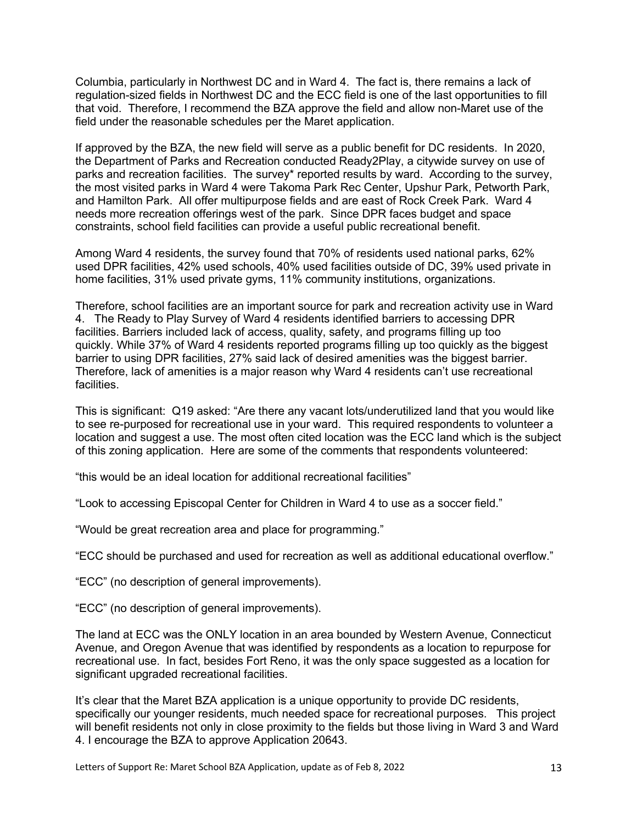Columbia, particularly in Northwest DC and in Ward 4. The fact is, there remains a lack of regulation-sized fields in Northwest DC and the ECC field is one of the last opportunities to fill that void. Therefore, I recommend the BZA approve the field and allow non-Maret use of the field under the reasonable schedules per the Maret application.

If approved by the BZA, the new field will serve as a public benefit for DC residents. In 2020, the Department of Parks and Recreation conducted Ready2Play, a citywide survey on use of parks and recreation facilities. The survey\* reported results by ward. According to the survey, the most visited parks in Ward 4 were Takoma Park Rec Center, Upshur Park, Petworth Park, and Hamilton Park. All offer multipurpose fields and are east of Rock Creek Park. Ward 4 needs more recreation offerings west of the park. Since DPR faces budget and space constraints, school field facilities can provide a useful public recreational benefit.

Among Ward 4 residents, the survey found that 70% of residents used national parks, 62% used DPR facilities, 42% used schools, 40% used facilities outside of DC, 39% used private in home facilities, 31% used private gyms, 11% community institutions, organizations.

Therefore, school facilities are an important source for park and recreation activity use in Ward 4. The Ready to Play Survey of Ward 4 residents identified barriers to accessing DPR facilities. Barriers included lack of access, quality, safety, and programs filling up too quickly. While 37% of Ward 4 residents reported programs filling up too quickly as the biggest barrier to using DPR facilities, 27% said lack of desired amenities was the biggest barrier. Therefore, lack of amenities is a major reason why Ward 4 residents can't use recreational facilities.

This is significant: Q19 asked: "Are there any vacant lots/underutilized land that you would like to see re-purposed for recreational use in your ward. This required respondents to volunteer a location and suggest a use. The most often cited location was the ECC land which is the subject of this zoning application. Here are some of the comments that respondents volunteered:

"this would be an ideal location for additional recreational facilities"

"Look to accessing Episcopal Center for Children in Ward 4 to use as a soccer field."

"Would be great recreation area and place for programming."

"ECC should be purchased and used for recreation as well as additional educational overflow."

"ECC" (no description of general improvements).

"ECC" (no description of general improvements).

The land at ECC was the ONLY location in an area bounded by Western Avenue, Connecticut Avenue, and Oregon Avenue that was identified by respondents as a location to repurpose for recreational use. In fact, besides Fort Reno, it was the only space suggested as a location for significant upgraded recreational facilities.

It's clear that the Maret BZA application is a unique opportunity to provide DC residents, specifically our younger residents, much needed space for recreational purposes. This project will benefit residents not only in close proximity to the fields but those living in Ward 3 and Ward 4. I encourage the BZA to approve Application 20643.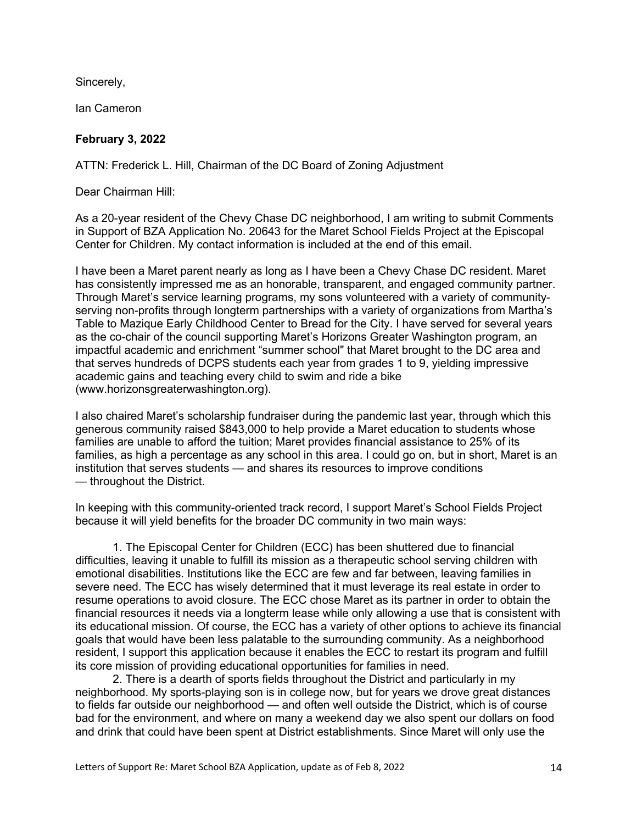Sincerely,

Ian Cameron

# **February 3, 2022**

ATTN: Frederick L. Hill, Chairman of the DC Board of Zoning Adjustment

Dear Chairman Hill:

As a 20-year resident of the Chevy Chase DC neighborhood, I am writing to submit Comments in Support of BZA Application No. 20643 for the Maret School Fields Project at the Episcopal Center for Children. My contact information is included at the end of this email.

I have been a Maret parent nearly as long as I have been a Chevy Chase DC resident. Maret has consistently impressed me as an honorable, transparent, and engaged community partner. Through Maret's service learning programs, my sons volunteered with a variety of communityserving non-profits through longterm partnerships with a variety of organizations from Martha's Table to Mazique Early Childhood Center to Bread for the City. I have served for several years as the co-chair of the council supporting Maret's Horizons Greater Washington program, an impactful academic and enrichment "summer school" that Maret brought to the DC area and that serves hundreds of DCPS students each year from grades 1 to 9, yielding impressive academic gains and teaching every child to swim and ride a bike (www.horizonsgreaterwashington.org).

I also chaired Maret's scholarship fundraiser during the pandemic last year, through which this generous community raised \$843,000 to help provide a Maret education to students whose families are unable to afford the tuition; Maret provides financial assistance to 25% of its families, as high a percentage as any school in this area. I could go on, but in short, Maret is an institution that serves students — and shares its resources to improve conditions — throughout the District.

In keeping with this community-oriented track record, I support Maret's School Fields Project because it will yield benefits for the broader DC community in two main ways:

1. The Episcopal Center for Children (ECC) has been shuttered due to financial difficulties, leaving it unable to fulfill its mission as a therapeutic school serving children with emotional disabilities. Institutions like the ECC are few and far between, leaving families in severe need. The ECC has wisely determined that it must leverage its real estate in order to resume operations to avoid closure. The ECC chose Maret as its partner in order to obtain the financial resources it needs via a longterm lease while only allowing a use that is consistent with its educational mission. Of course, the ECC has a variety of other options to achieve its financial goals that would have been less palatable to the surrounding community. As a neighborhood resident, I support this application because it enables the ECC to restart its program and fulfill its core mission of providing educational opportunities for families in need.

2. There is a dearth of sports fields throughout the District and particularly in my neighborhood. My sports-playing son is in college now, but for years we drove great distances to fields far outside our neighborhood — and often well outside the District, which is of course bad for the environment, and where on many a weekend day we also spent our dollars on food and drink that could have been spent at District establishments. Since Maret will only use the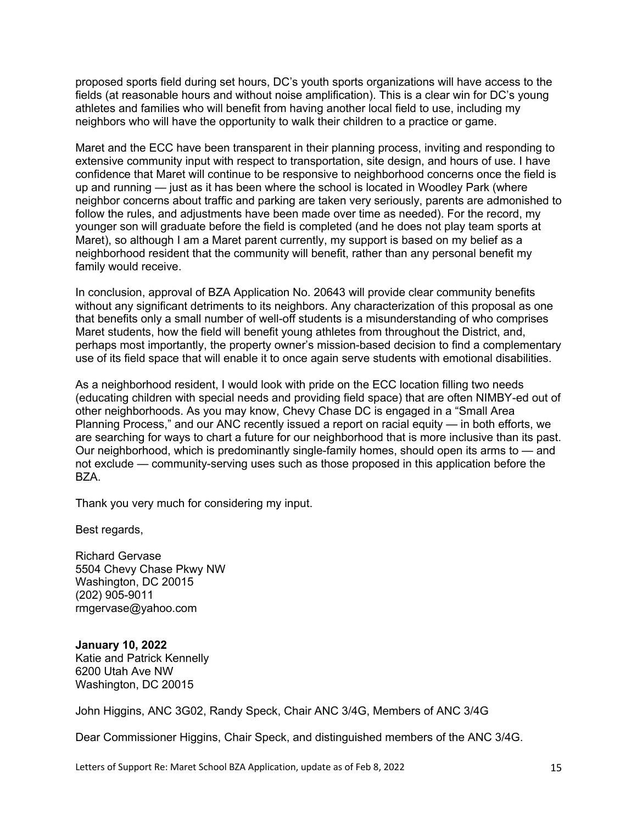proposed sports field during set hours, DC's youth sports organizations will have access to the fields (at reasonable hours and without noise amplification). This is a clear win for DC's young athletes and families who will benefit from having another local field to use, including my neighbors who will have the opportunity to walk their children to a practice or game.

Maret and the ECC have been transparent in their planning process, inviting and responding to extensive community input with respect to transportation, site design, and hours of use. I have confidence that Maret will continue to be responsive to neighborhood concerns once the field is up and running — just as it has been where the school is located in Woodley Park (where neighbor concerns about traffic and parking are taken very seriously, parents are admonished to follow the rules, and adjustments have been made over time as needed). For the record, my younger son will graduate before the field is completed (and he does not play team sports at Maret), so although I am a Maret parent currently, my support is based on my belief as a neighborhood resident that the community will benefit, rather than any personal benefit my family would receive.

In conclusion, approval of BZA Application No. 20643 will provide clear community benefits without any significant detriments to its neighbors. Any characterization of this proposal as one that benefits only a small number of well-off students is a misunderstanding of who comprises Maret students, how the field will benefit young athletes from throughout the District, and, perhaps most importantly, the property owner's mission-based decision to find a complementary use of its field space that will enable it to once again serve students with emotional disabilities.

As a neighborhood resident, I would look with pride on the ECC location filling two needs (educating children with special needs and providing field space) that are often NIMBY-ed out of other neighborhoods. As you may know, Chevy Chase DC is engaged in a "Small Area Planning Process," and our ANC recently issued a report on racial equity — in both efforts, we are searching for ways to chart a future for our neighborhood that is more inclusive than its past. Our neighborhood, which is predominantly single-family homes, should open its arms to — and not exclude — community-serving uses such as those proposed in this application before the BZA.

Thank you very much for considering my input.

Best regards,

Richard Gervase 5504 Chevy Chase Pkwy NW Washington, DC 20015 (202) 905-9011 rmgervase@yahoo.com

**January 10, 2022** Katie and Patrick Kennelly 6200 Utah Ave NW Washington, DC 20015

John Higgins, ANC 3G02, Randy Speck, Chair ANC 3/4G, Members of ANC 3/4G

Dear Commissioner Higgins, Chair Speck, and distinguished members of the ANC 3/4G.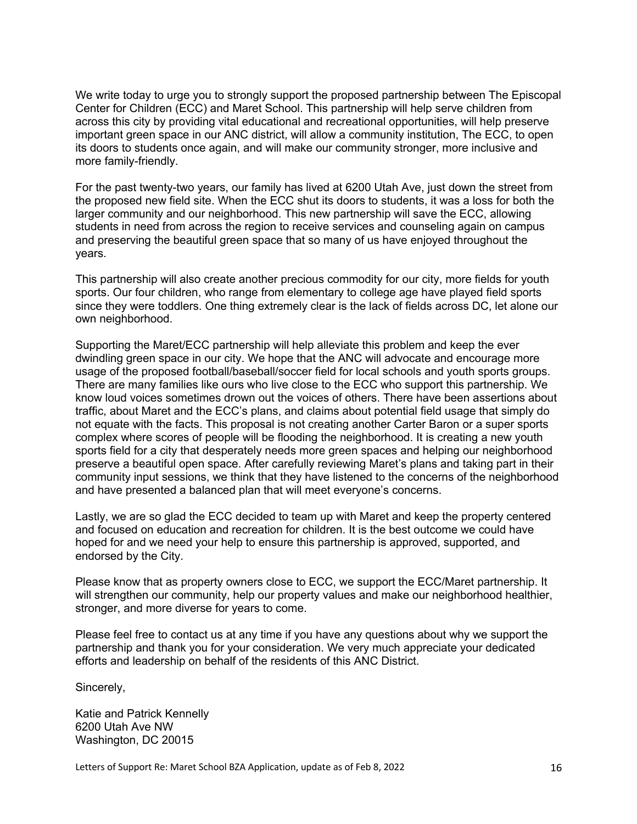We write today to urge you to strongly support the proposed partnership between The Episcopal Center for Children (ECC) and Maret School. This partnership will help serve children from across this city by providing vital educational and recreational opportunities, will help preserve important green space in our ANC district, will allow a community institution, The ECC, to open its doors to students once again, and will make our community stronger, more inclusive and more family-friendly.

For the past twenty-two years, our family has lived at 6200 Utah Ave, just down the street from the proposed new field site. When the ECC shut its doors to students, it was a loss for both the larger community and our neighborhood. This new partnership will save the ECC, allowing students in need from across the region to receive services and counseling again on campus and preserving the beautiful green space that so many of us have enjoyed throughout the years.

This partnership will also create another precious commodity for our city, more fields for youth sports. Our four children, who range from elementary to college age have played field sports since they were toddlers. One thing extremely clear is the lack of fields across DC, let alone our own neighborhood.

Supporting the Maret/ECC partnership will help alleviate this problem and keep the ever dwindling green space in our city. We hope that the ANC will advocate and encourage more usage of the proposed football/baseball/soccer field for local schools and youth sports groups. There are many families like ours who live close to the ECC who support this partnership. We know loud voices sometimes drown out the voices of others. There have been assertions about traffic, about Maret and the ECC's plans, and claims about potential field usage that simply do not equate with the facts. This proposal is not creating another Carter Baron or a super sports complex where scores of people will be flooding the neighborhood. It is creating a new youth sports field for a city that desperately needs more green spaces and helping our neighborhood preserve a beautiful open space. After carefully reviewing Maret's plans and taking part in their community input sessions, we think that they have listened to the concerns of the neighborhood and have presented a balanced plan that will meet everyone's concerns.

Lastly, we are so glad the ECC decided to team up with Maret and keep the property centered and focused on education and recreation for children. It is the best outcome we could have hoped for and we need your help to ensure this partnership is approved, supported, and endorsed by the City.

Please know that as property owners close to ECC, we support the ECC/Maret partnership. It will strengthen our community, help our property values and make our neighborhood healthier, stronger, and more diverse for years to come.

Please feel free to contact us at any time if you have any questions about why we support the partnership and thank you for your consideration. We very much appreciate your dedicated efforts and leadership on behalf of the residents of this ANC District.

Sincerely,

Katie and Patrick Kennelly 6200 Utah Ave NW Washington, DC 20015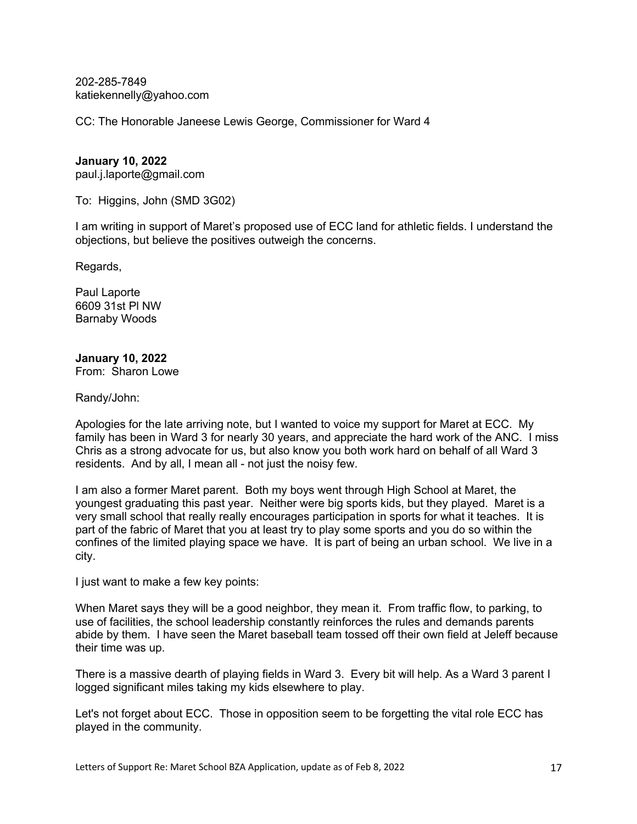202-285-7849 katiekennelly@yahoo.com

CC: The Honorable Janeese Lewis George, Commissioner for Ward 4

#### **January 10, 2022**

paul.j.laporte@gmail.com

To: Higgins, John (SMD 3G02)

I am writing in support of Maret's proposed use of ECC land for athletic fields. I understand the objections, but believe the positives outweigh the concerns.

Regards,

Paul Laporte 6609 31st Pl NW Barnaby Woods

# **January 10, 2022**

From: Sharon Lowe

Randy/John:

Apologies for the late arriving note, but I wanted to voice my support for Maret at ECC. My family has been in Ward 3 for nearly 30 years, and appreciate the hard work of the ANC. I miss Chris as a strong advocate for us, but also know you both work hard on behalf of all Ward 3 residents. And by all, I mean all - not just the noisy few.

I am also a former Maret parent. Both my boys went through High School at Maret, the youngest graduating this past year. Neither were big sports kids, but they played. Maret is a very small school that really really encourages participation in sports for what it teaches. It is part of the fabric of Maret that you at least try to play some sports and you do so within the confines of the limited playing space we have. It is part of being an urban school. We live in a city.

I just want to make a few key points:

When Maret says they will be a good neighbor, they mean it. From traffic flow, to parking, to use of facilities, the school leadership constantly reinforces the rules and demands parents abide by them. I have seen the Maret baseball team tossed off their own field at Jeleff because their time was up.

There is a massive dearth of playing fields in Ward 3. Every bit will help. As a Ward 3 parent I logged significant miles taking my kids elsewhere to play.

Let's not forget about ECC. Those in opposition seem to be forgetting the vital role ECC has played in the community.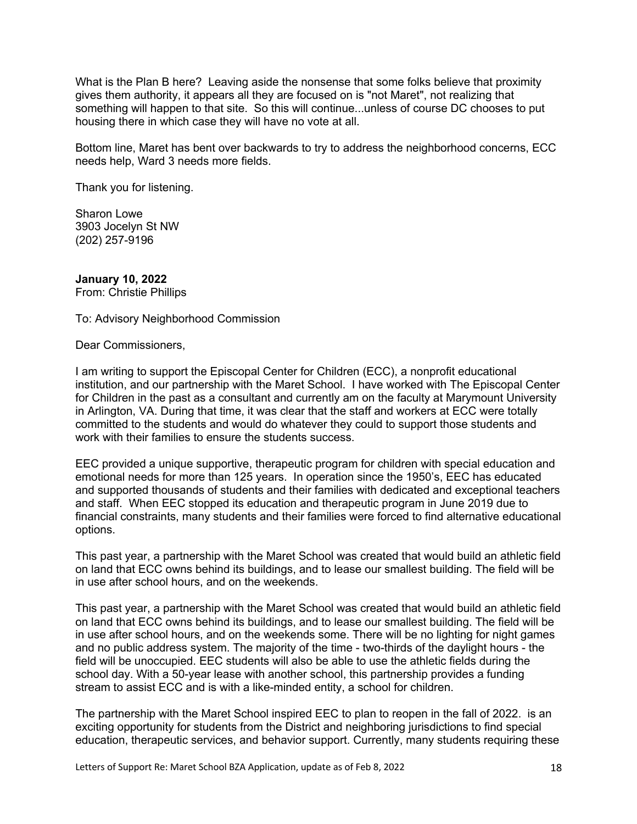What is the Plan B here? Leaving aside the nonsense that some folks believe that proximity gives them authority, it appears all they are focused on is "not Maret", not realizing that something will happen to that site. So this will continue...unless of course DC chooses to put housing there in which case they will have no vote at all.

Bottom line, Maret has bent over backwards to try to address the neighborhood concerns, ECC needs help, Ward 3 needs more fields.

Thank you for listening.

Sharon Lowe 3903 Jocelyn St NW (202) 257-9196

**January 10, 2022** From: Christie Phillips

To: Advisory Neighborhood Commission

Dear Commissioners,

I am writing to support the Episcopal Center for Children (ECC), a nonprofit educational institution, and our partnership with the Maret School. I have worked with The Episcopal Center for Children in the past as a consultant and currently am on the faculty at Marymount University in Arlington, VA. During that time, it was clear that the staff and workers at ECC were totally committed to the students and would do whatever they could to support those students and work with their families to ensure the students success.

EEC provided a unique supportive, therapeutic program for children with special education and emotional needs for more than 125 years. In operation since the 1950's, EEC has educated and supported thousands of students and their families with dedicated and exceptional teachers and staff. When EEC stopped its education and therapeutic program in June 2019 due to financial constraints, many students and their families were forced to find alternative educational options.

This past year, a partnership with the Maret School was created that would build an athletic field on land that ECC owns behind its buildings, and to lease our smallest building. The field will be in use after school hours, and on the weekends.

This past year, a partnership with the Maret School was created that would build an athletic field on land that ECC owns behind its buildings, and to lease our smallest building. The field will be in use after school hours, and on the weekends some. There will be no lighting for night games and no public address system. The majority of the time - two-thirds of the daylight hours - the field will be unoccupied. EEC students will also be able to use the athletic fields during the school day. With a 50-year lease with another school, this partnership provides a funding stream to assist ECC and is with a like-minded entity, a school for children.

The partnership with the Maret School inspired EEC to plan to reopen in the fall of 2022. is an exciting opportunity for students from the District and neighboring jurisdictions to find special education, therapeutic services, and behavior support. Currently, many students requiring these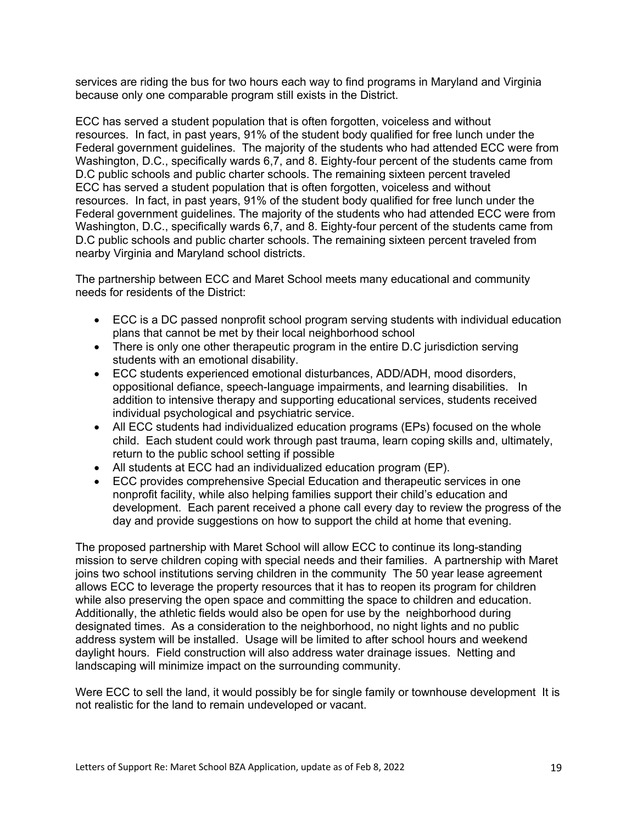services are riding the bus for two hours each way to find programs in Maryland and Virginia because only one comparable program still exists in the District.

ECC has served a student population that is often forgotten, voiceless and without resources. In fact, in past years, 91% of the student body qualified for free lunch under the Federal government guidelines. The majority of the students who had attended ECC were from Washington, D.C., specifically wards 6,7, and 8. Eighty-four percent of the students came from D.C public schools and public charter schools. The remaining sixteen percent traveled ECC has served a student population that is often forgotten, voiceless and without resources. In fact, in past years, 91% of the student body qualified for free lunch under the Federal government guidelines. The majority of the students who had attended ECC were from Washington, D.C., specifically wards 6,7, and 8. Eighty-four percent of the students came from D.C public schools and public charter schools. The remaining sixteen percent traveled from nearby Virginia and Maryland school districts.

The partnership between ECC and Maret School meets many educational and community needs for residents of the District:

- ECC is a DC passed nonprofit school program serving students with individual education plans that cannot be met by their local neighborhood school
- There is only one other therapeutic program in the entire D.C jurisdiction serving students with an emotional disability.
- ECC students experienced emotional disturbances, ADD/ADH, mood disorders, oppositional defiance, speech-language impairments, and learning disabilities. In addition to intensive therapy and supporting educational services, students received individual psychological and psychiatric service.
- All ECC students had individualized education programs (EPs) focused on the whole child. Each student could work through past trauma, learn coping skills and, ultimately, return to the public school setting if possible
- All students at ECC had an individualized education program (EP).
- ECC provides comprehensive Special Education and therapeutic services in one nonprofit facility, while also helping families support their child's education and development. Each parent received a phone call every day to review the progress of the day and provide suggestions on how to support the child at home that evening.

The proposed partnership with Maret School will allow ECC to continue its long-standing mission to serve children coping with special needs and their families. A partnership with Maret joins two school institutions serving children in the community The 50 year lease agreement allows ECC to leverage the property resources that it has to reopen its program for children while also preserving the open space and committing the space to children and education. Additionally, the athletic fields would also be open for use by the neighborhood during designated times. As a consideration to the neighborhood, no night lights and no public address system will be installed. Usage will be limited to after school hours and weekend daylight hours. Field construction will also address water drainage issues. Netting and landscaping will minimize impact on the surrounding community.

Were ECC to sell the land, it would possibly be for single family or townhouse development It is not realistic for the land to remain undeveloped or vacant.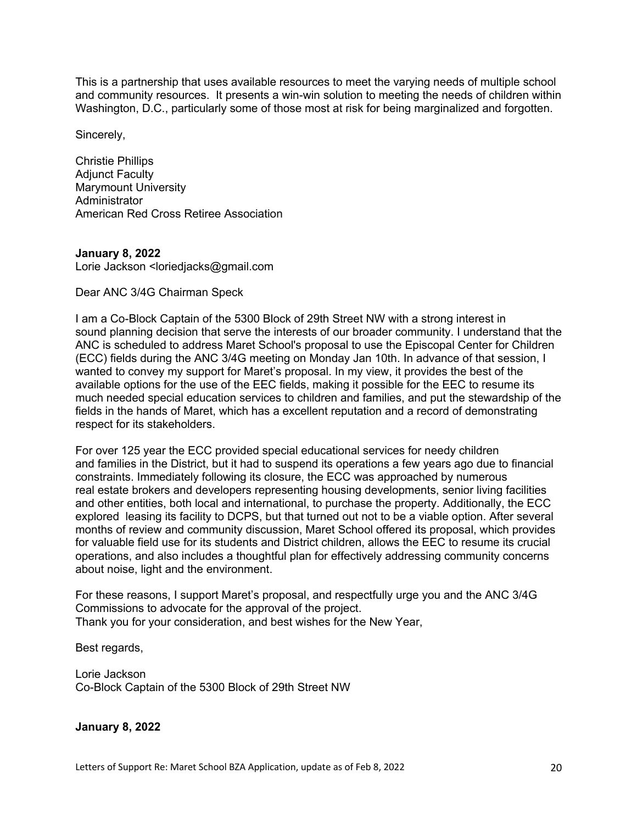This is a partnership that uses available resources to meet the varying needs of multiple school and community resources. It presents a win-win solution to meeting the needs of children within Washington, D.C., particularly some of those most at risk for being marginalized and forgotten.

Sincerely,

Christie Phillips Adjunct Faculty Marymount University **Administrator** American Red Cross Retiree Association

### **January 8, 2022**

Lorie Jackson <loriedjacks@gmail.com

Dear ANC 3/4G Chairman Speck

I am a Co-Block Captain of the 5300 Block of 29th Street NW with a strong interest in sound planning decision that serve the interests of our broader community. I understand that the ANC is scheduled to address Maret School's proposal to use the Episcopal Center for Children (ECC) fields during the ANC 3/4G meeting on Monday Jan 10th. In advance of that session, I wanted to convey my support for Maret's proposal. In my view, it provides the best of the available options for the use of the EEC fields, making it possible for the EEC to resume its much needed special education services to children and families, and put the stewardship of the fields in the hands of Maret, which has a excellent reputation and a record of demonstrating respect for its stakeholders.

For over 125 year the ECC provided special educational services for needy children and families in the District, but it had to suspend its operations a few years ago due to financial constraints. Immediately following its closure, the ECC was approached by numerous real estate brokers and developers representing housing developments, senior living facilities and other entities, both local and international, to purchase the property. Additionally, the ECC explored leasing its facility to DCPS, but that turned out not to be a viable option. After several months of review and community discussion, Maret School offered its proposal, which provides for valuable field use for its students and District children, allows the EEC to resume its crucial operations, and also includes a thoughtful plan for effectively addressing community concerns about noise, light and the environment.

For these reasons, I support Maret's proposal, and respectfully urge you and the ANC 3/4G Commissions to advocate for the approval of the project. Thank you for your consideration, and best wishes for the New Year,

Best regards,

Lorie Jackson Co-Block Captain of the 5300 Block of 29th Street NW

# **January 8, 2022**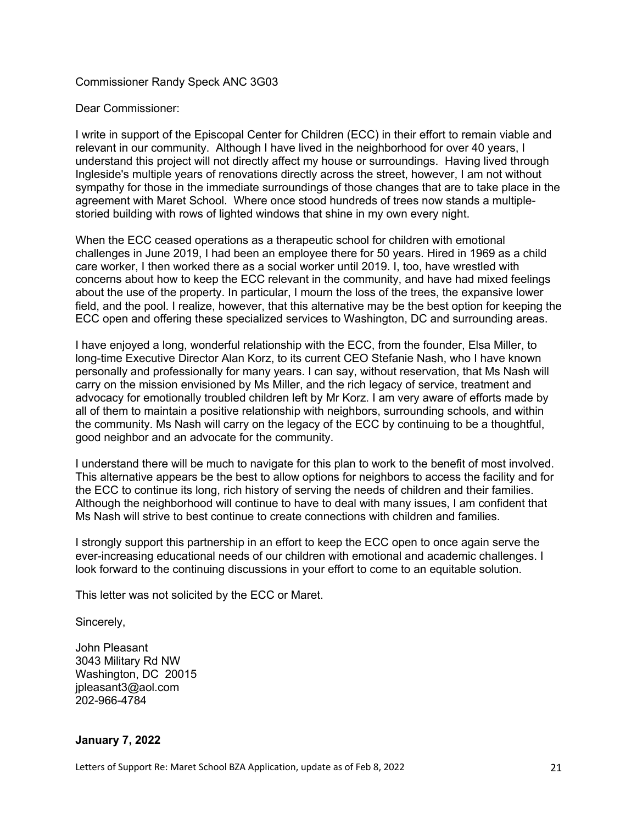### Commissioner Randy Speck ANC 3G03

### Dear Commissioner:

I write in support of the Episcopal Center for Children (ECC) in their effort to remain viable and relevant in our community. Although I have lived in the neighborhood for over 40 years, I understand this project will not directly affect my house or surroundings. Having lived through Ingleside's multiple years of renovations directly across the street, however, I am not without sympathy for those in the immediate surroundings of those changes that are to take place in the agreement with Maret School. Where once stood hundreds of trees now stands a multiplestoried building with rows of lighted windows that shine in my own every night.

When the ECC ceased operations as a therapeutic school for children with emotional challenges in June 2019, I had been an employee there for 50 years. Hired in 1969 as a child care worker, I then worked there as a social worker until 2019. I, too, have wrestled with concerns about how to keep the ECC relevant in the community, and have had mixed feelings about the use of the property. In particular, I mourn the loss of the trees, the expansive lower field, and the pool. I realize, however, that this alternative may be the best option for keeping the ECC open and offering these specialized services to Washington, DC and surrounding areas.

I have enjoyed a long, wonderful relationship with the ECC, from the founder, Elsa Miller, to long-time Executive Director Alan Korz, to its current CEO Stefanie Nash, who I have known personally and professionally for many years. I can say, without reservation, that Ms Nash will carry on the mission envisioned by Ms Miller, and the rich legacy of service, treatment and advocacy for emotionally troubled children left by Mr Korz. I am very aware of efforts made by all of them to maintain a positive relationship with neighbors, surrounding schools, and within the community. Ms Nash will carry on the legacy of the ECC by continuing to be a thoughtful, good neighbor and an advocate for the community.

I understand there will be much to navigate for this plan to work to the benefit of most involved. This alternative appears be the best to allow options for neighbors to access the facility and for the ECC to continue its long, rich history of serving the needs of children and their families. Although the neighborhood will continue to have to deal with many issues, I am confident that Ms Nash will strive to best continue to create connections with children and families.

I strongly support this partnership in an effort to keep the ECC open to once again serve the ever-increasing educational needs of our children with emotional and academic challenges. I look forward to the continuing discussions in your effort to come to an equitable solution.

This letter was not solicited by the ECC or Maret.

Sincerely,

John Pleasant 3043 Military Rd NW Washington, DC 20015 jpleasant3@aol.com 202-966-4784

# **January 7, 2022**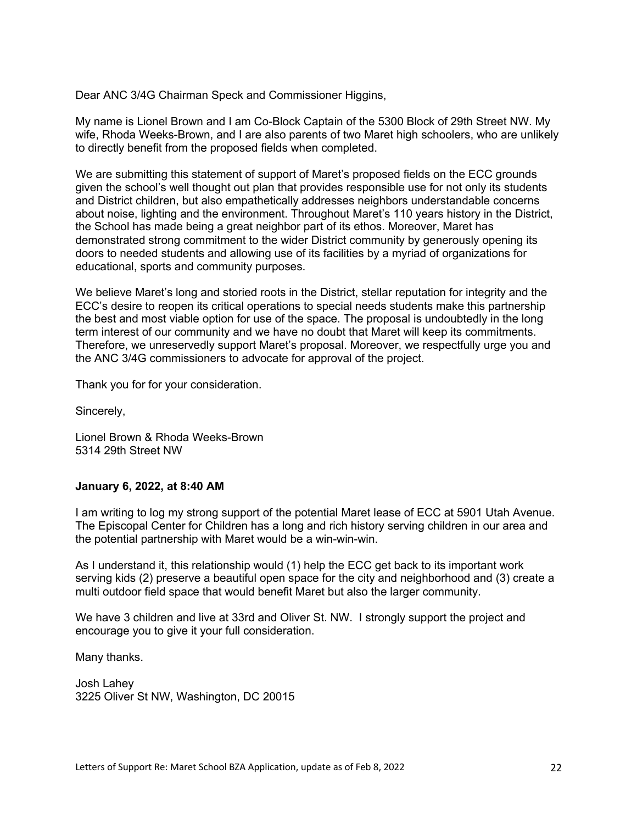Dear ANC 3/4G Chairman Speck and Commissioner Higgins,

My name is Lionel Brown and I am Co-Block Captain of the 5300 Block of 29th Street NW. My wife, Rhoda Weeks-Brown, and I are also parents of two Maret high schoolers, who are unlikely to directly benefit from the proposed fields when completed.

We are submitting this statement of support of Maret's proposed fields on the ECC grounds given the school's well thought out plan that provides responsible use for not only its students and District children, but also empathetically addresses neighbors understandable concerns about noise, lighting and the environment. Throughout Maret's 110 years history in the District, the School has made being a great neighbor part of its ethos. Moreover, Maret has demonstrated strong commitment to the wider District community by generously opening its doors to needed students and allowing use of its facilities by a myriad of organizations for educational, sports and community purposes.

We believe Maret's long and storied roots in the District, stellar reputation for integrity and the ECC's desire to reopen its critical operations to special needs students make this partnership the best and most viable option for use of the space. The proposal is undoubtedly in the long term interest of our community and we have no doubt that Maret will keep its commitments. Therefore, we unreservedly support Maret's proposal. Moreover, we respectfully urge you and the ANC 3/4G commissioners to advocate for approval of the project.

Thank you for for your consideration.

Sincerely,

Lionel Brown & Rhoda Weeks-Brown 5314 29th Street NW

### **January 6, 2022, at 8:40 AM**

I am writing to log my strong support of the potential Maret lease of ECC at 5901 Utah Avenue. The Episcopal Center for Children has a long and rich history serving children in our area and the potential partnership with Maret would be a win-win-win.

As I understand it, this relationship would (1) help the ECC get back to its important work serving kids (2) preserve a beautiful open space for the city and neighborhood and (3) create a multi outdoor field space that would benefit Maret but also the larger community.

We have 3 children and live at 33rd and Oliver St. NW. I strongly support the project and encourage you to give it your full consideration.

Many thanks.

Josh Lahey 3225 Oliver St NW, Washington, DC 20015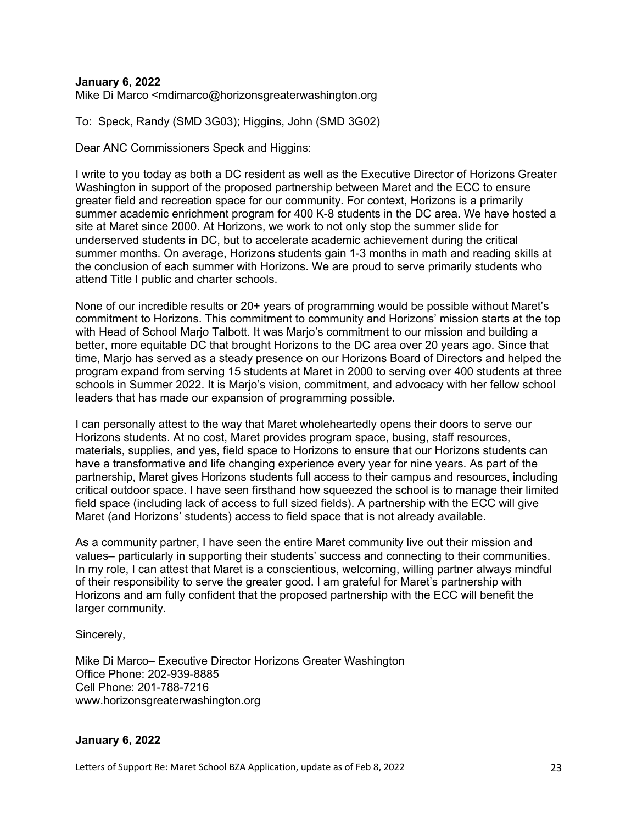#### **January 6, 2022**

Mike Di Marco <mdimarco@horizonsgreaterwashington.org

To: Speck, Randy (SMD 3G03); Higgins, John (SMD 3G02)

Dear ANC Commissioners Speck and Higgins:

I write to you today as both a DC resident as well as the Executive Director of Horizons Greater Washington in support of the proposed partnership between Maret and the ECC to ensure greater field and recreation space for our community. For context, Horizons is a primarily summer academic enrichment program for 400 K-8 students in the DC area. We have hosted a site at Maret since 2000. At Horizons, we work to not only stop the summer slide for underserved students in DC, but to accelerate academic achievement during the critical summer months. On average, Horizons students gain 1-3 months in math and reading skills at the conclusion of each summer with Horizons. We are proud to serve primarily students who attend Title I public and charter schools.

None of our incredible results or 20+ years of programming would be possible without Maret's commitment to Horizons. This commitment to community and Horizons' mission starts at the top with Head of School Marjo Talbott. It was Marjo's commitment to our mission and building a better, more equitable DC that brought Horizons to the DC area over 20 years ago. Since that time, Marjo has served as a steady presence on our Horizons Board of Directors and helped the program expand from serving 15 students at Maret in 2000 to serving over 400 students at three schools in Summer 2022. It is Marjo's vision, commitment, and advocacy with her fellow school leaders that has made our expansion of programming possible.

I can personally attest to the way that Maret wholeheartedly opens their doors to serve our Horizons students. At no cost, Maret provides program space, busing, staff resources, materials, supplies, and yes, field space to Horizons to ensure that our Horizons students can have a transformative and life changing experience every year for nine years. As part of the partnership, Maret gives Horizons students full access to their campus and resources, including critical outdoor space. I have seen firsthand how squeezed the school is to manage their limited field space (including lack of access to full sized fields). A partnership with the ECC will give Maret (and Horizons' students) access to field space that is not already available.

As a community partner, I have seen the entire Maret community live out their mission and values– particularly in supporting their students' success and connecting to their communities. In my role, I can attest that Maret is a conscientious, welcoming, willing partner always mindful of their responsibility to serve the greater good. I am grateful for Maret's partnership with Horizons and am fully confident that the proposed partnership with the ECC will benefit the larger community.

Sincerely,

Mike Di Marco– Executive Director Horizons Greater Washington Office Phone: 202-939-8885 Cell Phone: 201-788-7216 www.horizonsgreaterwashington.org

### **January 6, 2022**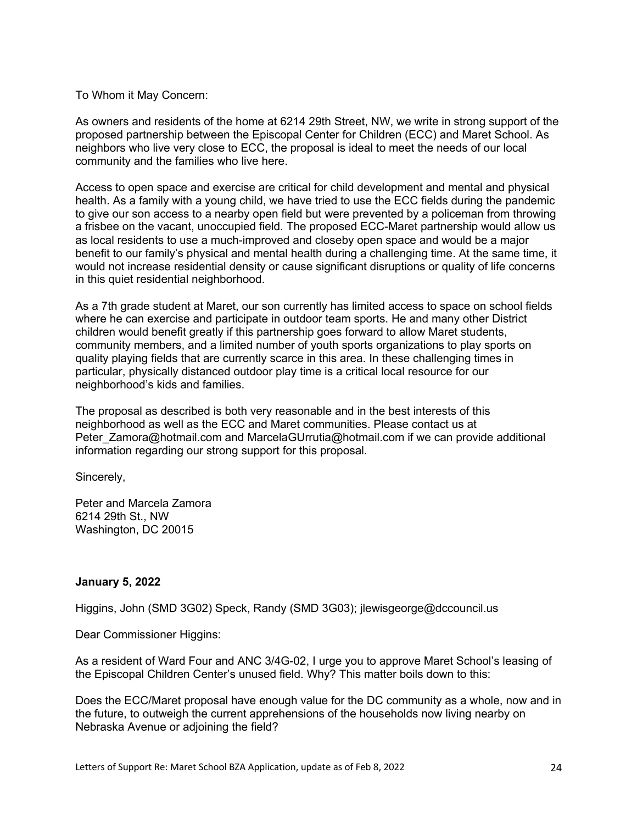#### To Whom it May Concern:

As owners and residents of the home at 6214 29th Street, NW, we write in strong support of the proposed partnership between the Episcopal Center for Children (ECC) and Maret School. As neighbors who live very close to ECC, the proposal is ideal to meet the needs of our local community and the families who live here.

Access to open space and exercise are critical for child development and mental and physical health. As a family with a young child, we have tried to use the ECC fields during the pandemic to give our son access to a nearby open field but were prevented by a policeman from throwing a frisbee on the vacant, unoccupied field. The proposed ECC-Maret partnership would allow us as local residents to use a much-improved and closeby open space and would be a major benefit to our family's physical and mental health during a challenging time. At the same time, it would not increase residential density or cause significant disruptions or quality of life concerns in this quiet residential neighborhood.

As a 7th grade student at Maret, our son currently has limited access to space on school fields where he can exercise and participate in outdoor team sports. He and many other District children would benefit greatly if this partnership goes forward to allow Maret students, community members, and a limited number of youth sports organizations to play sports on quality playing fields that are currently scarce in this area. In these challenging times in particular, physically distanced outdoor play time is a critical local resource for our neighborhood's kids and families.

The proposal as described is both very reasonable and in the best interests of this neighborhood as well as the ECC and Maret communities. Please contact us at Peter\_Zamora@hotmail.com and MarcelaGUrrutia@hotmail.com if we can provide additional information regarding our strong support for this proposal.

Sincerely,

Peter and Marcela Zamora 6214 29th St., NW Washington, DC 20015

### **January 5, 2022**

Higgins, John (SMD 3G02) Speck, Randy (SMD 3G03); jlewisgeorge@dccouncil.us

Dear Commissioner Higgins:

As a resident of Ward Four and ANC 3/4G-02, I urge you to approve Maret School's leasing of the Episcopal Children Center's unused field. Why? This matter boils down to this:

Does the ECC/Maret proposal have enough value for the DC community as a whole, now and in the future, to outweigh the current apprehensions of the households now living nearby on Nebraska Avenue or adjoining the field?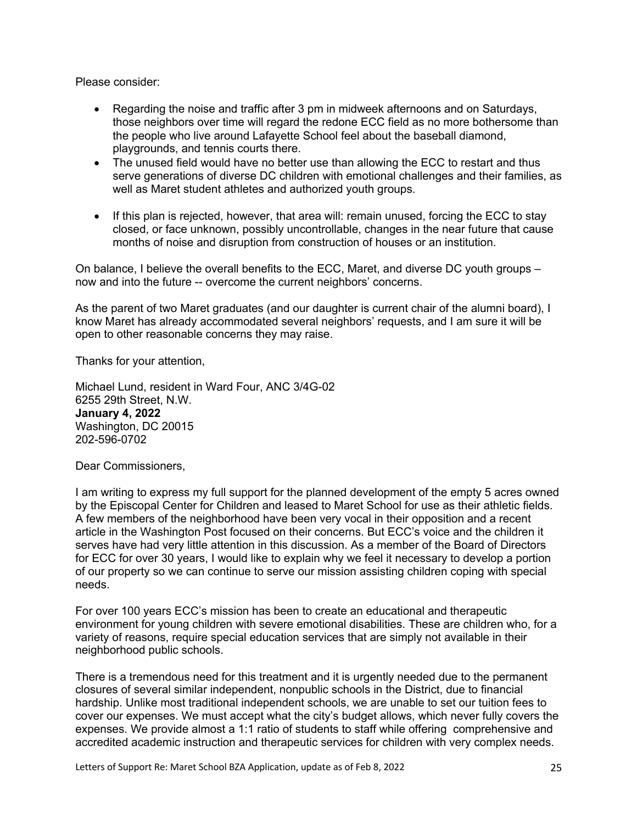Please consider:

- Regarding the noise and traffic after 3 pm in midweek afternoons and on Saturdays, those neighbors over time will regard the redone ECC field as no more bothersome than the people who live around Lafayette School feel about the baseball diamond, playgrounds, and tennis courts there.
- The unused field would have no better use than allowing the ECC to restart and thus serve generations of diverse DC children with emotional challenges and their families, as well as Maret student athletes and authorized youth groups.
- If this plan is rejected, however, that area will: remain unused, forcing the ECC to stay closed, or face unknown, possibly uncontrollable, changes in the near future that cause months of noise and disruption from construction of houses or an institution.

On balance, I believe the overall benefits to the ECC, Maret, and diverse DC youth groups – now and into the future -- overcome the current neighbors' concerns.

As the parent of two Maret graduates (and our daughter is current chair of the alumni board), I know Maret has already accommodated several neighbors' requests, and I am sure it will be open to other reasonable concerns they may raise.

Thanks for your attention,

Michael Lund, resident in Ward Four, ANC 3/4G-02 6255 29th Street, N.W. **January 4, 2022** Washington, DC 20015 202-596-0702

Dear Commissioners,

I am writing to express my full support for the planned development of the empty 5 acres owned by the Episcopal Center for Children and leased to Maret School for use as their athletic fields. A few members of the neighborhood have been very vocal in their opposition and a recent article in the Washington Post focused on their concerns. But ECC's voice and the children it serves have had very little attention in this discussion. As a member of the Board of Directors for ECC for over 30 years, I would like to explain why we feel it necessary to develop a portion of our property so we can continue to serve our mission assisting children coping with special needs.

For over 100 years ECC's mission has been to create an educational and therapeutic environment for young children with severe emotional disabilities. These are children who, for a variety of reasons, require special education services that are simply not available in their neighborhood public schools.

There is a tremendous need for this treatment and it is urgently needed due to the permanent closures of several similar independent, nonpublic schools in the District, due to financial hardship. Unlike most traditional independent schools, we are unable to set our tuition fees to cover our expenses. We must accept what the city's budget allows, which never fully covers the expenses. We provide almost a 1:1 ratio of students to staff while offering comprehensive and accredited academic instruction and therapeutic services for children with very complex needs.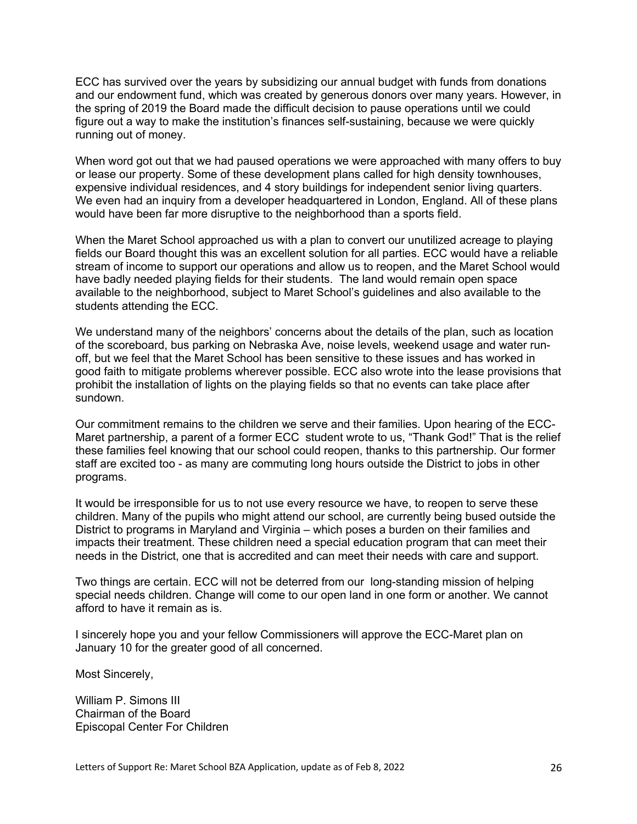ECC has survived over the years by subsidizing our annual budget with funds from donations and our endowment fund, which was created by generous donors over many years. However, in the spring of 2019 the Board made the difficult decision to pause operations until we could figure out a way to make the institution's finances self-sustaining, because we were quickly running out of money.

When word got out that we had paused operations we were approached with many offers to buy or lease our property. Some of these development plans called for high density townhouses, expensive individual residences, and 4 story buildings for independent senior living quarters. We even had an inquiry from a developer headquartered in London, England. All of these plans would have been far more disruptive to the neighborhood than a sports field.

When the Maret School approached us with a plan to convert our unutilized acreage to playing fields our Board thought this was an excellent solution for all parties. ECC would have a reliable stream of income to support our operations and allow us to reopen, and the Maret School would have badly needed playing fields for their students. The land would remain open space available to the neighborhood, subject to Maret School's guidelines and also available to the students attending the ECC.

We understand many of the neighbors' concerns about the details of the plan, such as location of the scoreboard, bus parking on Nebraska Ave, noise levels, weekend usage and water runoff, but we feel that the Maret School has been sensitive to these issues and has worked in good faith to mitigate problems wherever possible. ECC also wrote into the lease provisions that prohibit the installation of lights on the playing fields so that no events can take place after sundown.

Our commitment remains to the children we serve and their families. Upon hearing of the ECC-Maret partnership, a parent of a former ECC student wrote to us, "Thank God!" That is the relief these families feel knowing that our school could reopen, thanks to this partnership. Our former staff are excited too - as many are commuting long hours outside the District to jobs in other programs.

It would be irresponsible for us to not use every resource we have, to reopen to serve these children. Many of the pupils who might attend our school, are currently being bused outside the District to programs in Maryland and Virginia – which poses a burden on their families and impacts their treatment. These children need a special education program that can meet their needs in the District, one that is accredited and can meet their needs with care and support.

Two things are certain. ECC will not be deterred from our long-standing mission of helping special needs children. Change will come to our open land in one form or another. We cannot afford to have it remain as is.

I sincerely hope you and your fellow Commissioners will approve the ECC-Maret plan on January 10 for the greater good of all concerned.

Most Sincerely,

William P. Simons III Chairman of the Board Episcopal Center For Children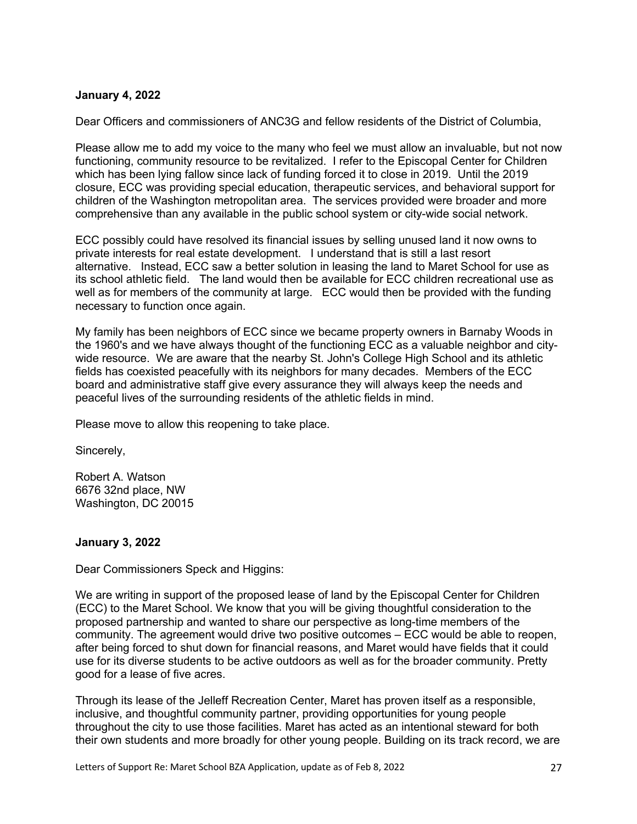### **January 4, 2022**

Dear Officers and commissioners of ANC3G and fellow residents of the District of Columbia,

Please allow me to add my voice to the many who feel we must allow an invaluable, but not now functioning, community resource to be revitalized. I refer to the Episcopal Center for Children which has been lying fallow since lack of funding forced it to close in 2019. Until the 2019 closure, ECC was providing special education, therapeutic services, and behavioral support for children of the Washington metropolitan area. The services provided were broader and more comprehensive than any available in the public school system or city-wide social network.

ECC possibly could have resolved its financial issues by selling unused land it now owns to private interests for real estate development. I understand that is still a last resort alternative. Instead, ECC saw a better solution in leasing the land to Maret School for use as its school athletic field. The land would then be available for ECC children recreational use as well as for members of the community at large. ECC would then be provided with the funding necessary to function once again.

My family has been neighbors of ECC since we became property owners in Barnaby Woods in the 1960's and we have always thought of the functioning ECC as a valuable neighbor and citywide resource. We are aware that the nearby St. John's College High School and its athletic fields has coexisted peacefully with its neighbors for many decades. Members of the ECC board and administrative staff give every assurance they will always keep the needs and peaceful lives of the surrounding residents of the athletic fields in mind.

Please move to allow this reopening to take place.

Sincerely,

Robert A. Watson 6676 32nd place, NW Washington, DC 20015

# **January 3, 2022**

Dear Commissioners Speck and Higgins:

We are writing in support of the proposed lease of land by the Episcopal Center for Children (ECC) to the Maret School. We know that you will be giving thoughtful consideration to the proposed partnership and wanted to share our perspective as long-time members of the community. The agreement would drive two positive outcomes – ECC would be able to reopen, after being forced to shut down for financial reasons, and Maret would have fields that it could use for its diverse students to be active outdoors as well as for the broader community. Pretty good for a lease of five acres.

Through its lease of the Jelleff Recreation Center, Maret has proven itself as a responsible, inclusive, and thoughtful community partner, providing opportunities for young people throughout the city to use those facilities. Maret has acted as an intentional steward for both their own students and more broadly for other young people. Building on its track record, we are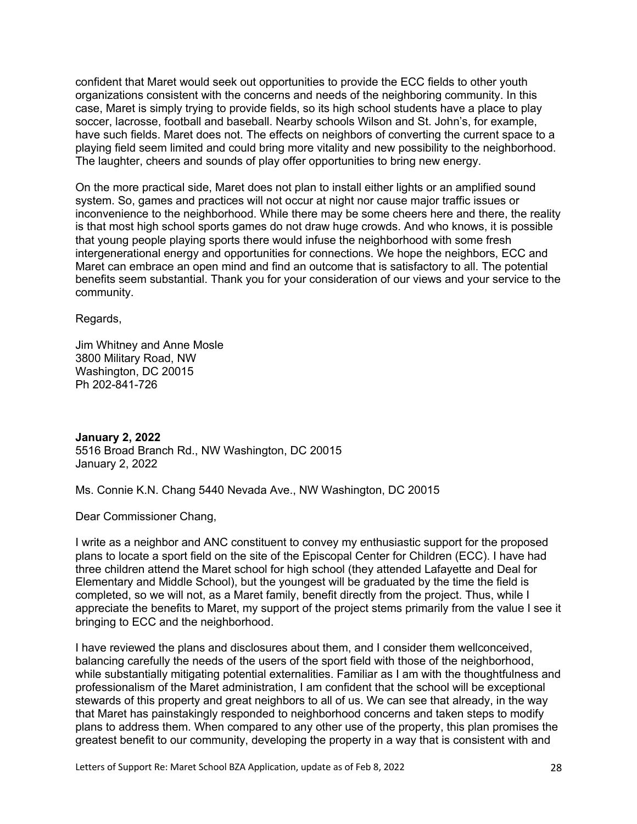confident that Maret would seek out opportunities to provide the ECC fields to other youth organizations consistent with the concerns and needs of the neighboring community. In this case, Maret is simply trying to provide fields, so its high school students have a place to play soccer, lacrosse, football and baseball. Nearby schools Wilson and St. John's, for example, have such fields. Maret does not. The effects on neighbors of converting the current space to a playing field seem limited and could bring more vitality and new possibility to the neighborhood. The laughter, cheers and sounds of play offer opportunities to bring new energy.

On the more practical side, Maret does not plan to install either lights or an amplified sound system. So, games and practices will not occur at night nor cause major traffic issues or inconvenience to the neighborhood. While there may be some cheers here and there, the reality is that most high school sports games do not draw huge crowds. And who knows, it is possible that young people playing sports there would infuse the neighborhood with some fresh intergenerational energy and opportunities for connections. We hope the neighbors, ECC and Maret can embrace an open mind and find an outcome that is satisfactory to all. The potential benefits seem substantial. Thank you for your consideration of our views and your service to the community.

Regards,

Jim Whitney and Anne Mosle 3800 Military Road, NW Washington, DC 20015 Ph 202-841-726

**January 2, 2022** 5516 Broad Branch Rd., NW Washington, DC 20015 January 2, 2022

Ms. Connie K.N. Chang 5440 Nevada Ave., NW Washington, DC 20015

Dear Commissioner Chang,

I write as a neighbor and ANC constituent to convey my enthusiastic support for the proposed plans to locate a sport field on the site of the Episcopal Center for Children (ECC). I have had three children attend the Maret school for high school (they attended Lafayette and Deal for Elementary and Middle School), but the youngest will be graduated by the time the field is completed, so we will not, as a Maret family, benefit directly from the project. Thus, while I appreciate the benefits to Maret, my support of the project stems primarily from the value I see it bringing to ECC and the neighborhood.

I have reviewed the plans and disclosures about them, and I consider them wellconceived, balancing carefully the needs of the users of the sport field with those of the neighborhood, while substantially mitigating potential externalities. Familiar as I am with the thoughtfulness and professionalism of the Maret administration, I am confident that the school will be exceptional stewards of this property and great neighbors to all of us. We can see that already, in the way that Maret has painstakingly responded to neighborhood concerns and taken steps to modify plans to address them. When compared to any other use of the property, this plan promises the greatest benefit to our community, developing the property in a way that is consistent with and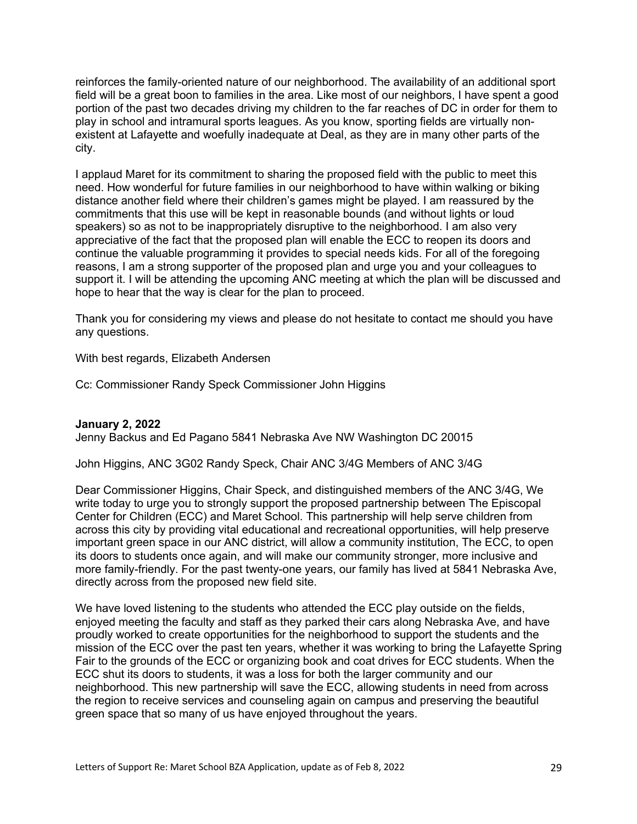reinforces the family-oriented nature of our neighborhood. The availability of an additional sport field will be a great boon to families in the area. Like most of our neighbors, I have spent a good portion of the past two decades driving my children to the far reaches of DC in order for them to play in school and intramural sports leagues. As you know, sporting fields are virtually nonexistent at Lafayette and woefully inadequate at Deal, as they are in many other parts of the city.

I applaud Maret for its commitment to sharing the proposed field with the public to meet this need. How wonderful for future families in our neighborhood to have within walking or biking distance another field where their children's games might be played. I am reassured by the commitments that this use will be kept in reasonable bounds (and without lights or loud speakers) so as not to be inappropriately disruptive to the neighborhood. I am also very appreciative of the fact that the proposed plan will enable the ECC to reopen its doors and continue the valuable programming it provides to special needs kids. For all of the foregoing reasons, I am a strong supporter of the proposed plan and urge you and your colleagues to support it. I will be attending the upcoming ANC meeting at which the plan will be discussed and hope to hear that the way is clear for the plan to proceed.

Thank you for considering my views and please do not hesitate to contact me should you have any questions.

With best regards, Elizabeth Andersen

Cc: Commissioner Randy Speck Commissioner John Higgins

### **January 2, 2022**

Jenny Backus and Ed Pagano 5841 Nebraska Ave NW Washington DC 20015

John Higgins, ANC 3G02 Randy Speck, Chair ANC 3/4G Members of ANC 3/4G

Dear Commissioner Higgins, Chair Speck, and distinguished members of the ANC 3/4G, We write today to urge you to strongly support the proposed partnership between The Episcopal Center for Children (ECC) and Maret School. This partnership will help serve children from across this city by providing vital educational and recreational opportunities, will help preserve important green space in our ANC district, will allow a community institution, The ECC, to open its doors to students once again, and will make our community stronger, more inclusive and more family-friendly. For the past twenty-one years, our family has lived at 5841 Nebraska Ave, directly across from the proposed new field site.

We have loved listening to the students who attended the ECC play outside on the fields, enjoyed meeting the faculty and staff as they parked their cars along Nebraska Ave, and have proudly worked to create opportunities for the neighborhood to support the students and the mission of the ECC over the past ten years, whether it was working to bring the Lafayette Spring Fair to the grounds of the ECC or organizing book and coat drives for ECC students. When the ECC shut its doors to students, it was a loss for both the larger community and our neighborhood. This new partnership will save the ECC, allowing students in need from across the region to receive services and counseling again on campus and preserving the beautiful green space that so many of us have enjoyed throughout the years.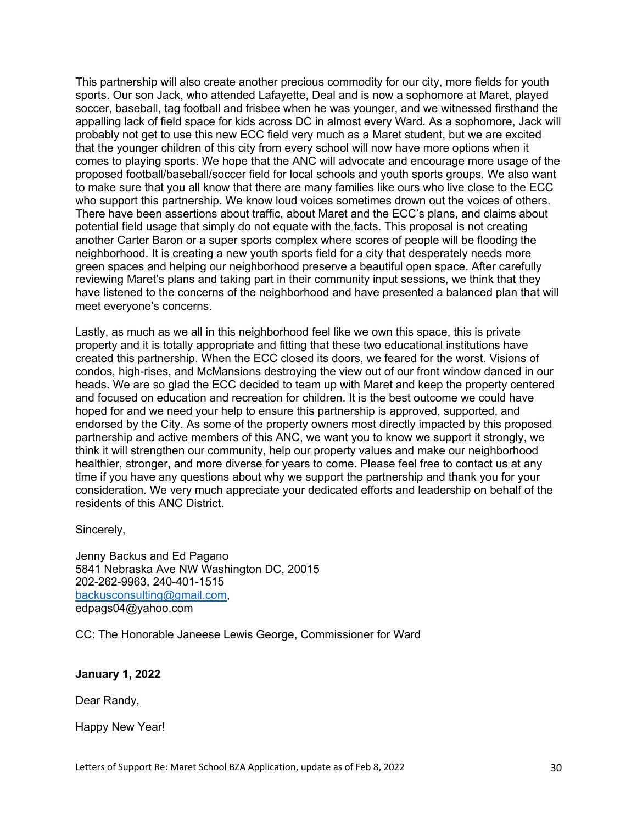This partnership will also create another precious commodity for our city, more fields for youth sports. Our son Jack, who attended Lafayette, Deal and is now a sophomore at Maret, played soccer, baseball, tag football and frisbee when he was younger, and we witnessed firsthand the appalling lack of field space for kids across DC in almost every Ward. As a sophomore, Jack will probably not get to use this new ECC field very much as a Maret student, but we are excited that the younger children of this city from every school will now have more options when it comes to playing sports. We hope that the ANC will advocate and encourage more usage of the proposed football/baseball/soccer field for local schools and youth sports groups. We also want to make sure that you all know that there are many families like ours who live close to the ECC who support this partnership. We know loud voices sometimes drown out the voices of others. There have been assertions about traffic, about Maret and the ECC's plans, and claims about potential field usage that simply do not equate with the facts. This proposal is not creating another Carter Baron or a super sports complex where scores of people will be flooding the neighborhood. It is creating a new youth sports field for a city that desperately needs more green spaces and helping our neighborhood preserve a beautiful open space. After carefully reviewing Maret's plans and taking part in their community input sessions, we think that they have listened to the concerns of the neighborhood and have presented a balanced plan that will meet everyone's concerns.

Lastly, as much as we all in this neighborhood feel like we own this space, this is private property and it is totally appropriate and fitting that these two educational institutions have created this partnership. When the ECC closed its doors, we feared for the worst. Visions of condos, high-rises, and McMansions destroying the view out of our front window danced in our heads. We are so glad the ECC decided to team up with Maret and keep the property centered and focused on education and recreation for children. It is the best outcome we could have hoped for and we need your help to ensure this partnership is approved, supported, and endorsed by the City. As some of the property owners most directly impacted by this proposed partnership and active members of this ANC, we want you to know we support it strongly, we think it will strengthen our community, help our property values and make our neighborhood healthier, stronger, and more diverse for years to come. Please feel free to contact us at any time if you have any questions about why we support the partnership and thank you for your consideration. We very much appreciate your dedicated efforts and leadership on behalf of the residents of this ANC District.

Sincerely,

Jenny Backus and Ed Pagano 5841 Nebraska Ave NW Washington DC, 20015 202-262-9963, 240-401-1515 backusconsulting@gmail.com, edpags04@yahoo.com

CC: The Honorable Janeese Lewis George, Commissioner for Ward

# **January 1, 2022**

Dear Randy,

Happy New Year!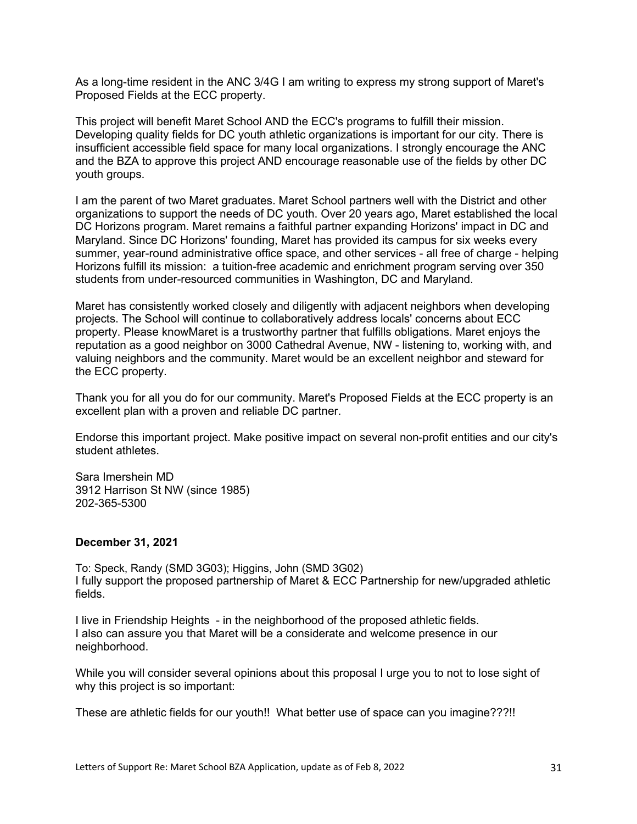As a long-time resident in the ANC 3/4G I am writing to express my strong support of Maret's Proposed Fields at the ECC property.

This project will benefit Maret School AND the ECC's programs to fulfill their mission. Developing quality fields for DC youth athletic organizations is important for our city. There is insufficient accessible field space for many local organizations. I strongly encourage the ANC and the BZA to approve this project AND encourage reasonable use of the fields by other DC youth groups.

I am the parent of two Maret graduates. Maret School partners well with the District and other organizations to support the needs of DC youth. Over 20 years ago, Maret established the local DC Horizons program. Maret remains a faithful partner expanding Horizons' impact in DC and Maryland. Since DC Horizons' founding, Maret has provided its campus for six weeks every summer, year-round administrative office space, and other services - all free of charge - helping Horizons fulfill its mission: a tuition-free academic and enrichment program serving over 350 students from under-resourced communities in Washington, DC and Maryland.

Maret has consistently worked closely and diligently with adjacent neighbors when developing projects. The School will continue to collaboratively address locals' concerns about ECC property. Please knowMaret is a trustworthy partner that fulfills obligations. Maret enjoys the reputation as a good neighbor on 3000 Cathedral Avenue, NW - listening to, working with, and valuing neighbors and the community. Maret would be an excellent neighbor and steward for the ECC property.

Thank you for all you do for our community. Maret's Proposed Fields at the ECC property is an excellent plan with a proven and reliable DC partner.

Endorse this important project. Make positive impact on several non-profit entities and our city's student athletes.

Sara Imershein MD 3912 Harrison St NW (since 1985) 202-365-5300

#### **December 31, 2021**

To: Speck, Randy (SMD 3G03); Higgins, John (SMD 3G02) I fully support the proposed partnership of Maret & ECC Partnership for new/upgraded athletic fields.

I live in Friendship Heights - in the neighborhood of the proposed athletic fields. I also can assure you that Maret will be a considerate and welcome presence in our neighborhood.

While you will consider several opinions about this proposal I urge you to not to lose sight of why this project is so important:

These are athletic fields for our youth!! What better use of space can you imagine???!!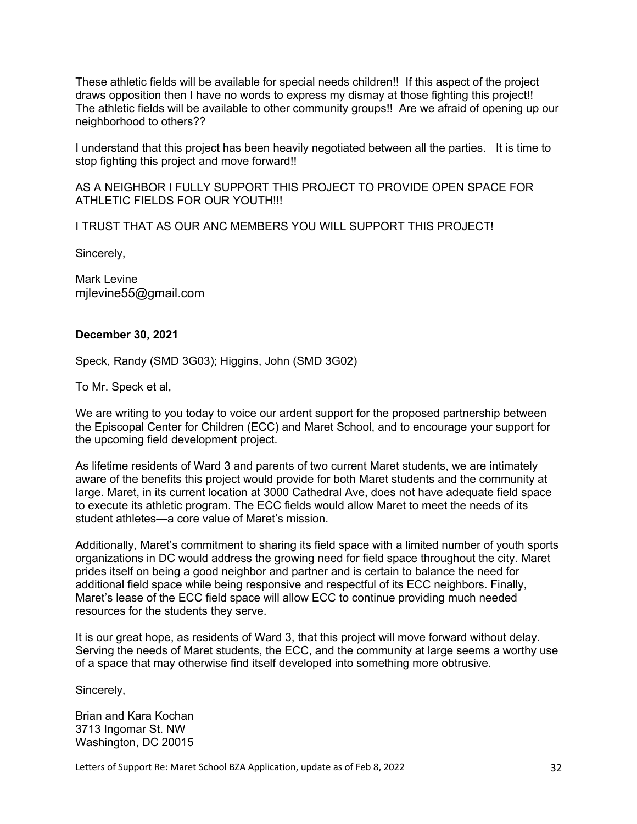These athletic fields will be available for special needs children!! If this aspect of the project draws opposition then I have no words to express my dismay at those fighting this project!! The athletic fields will be available to other community groups!! Are we afraid of opening up our neighborhood to others??

I understand that this project has been heavily negotiated between all the parties. It is time to stop fighting this project and move forward!!

AS A NEIGHBOR I FULLY SUPPORT THIS PROJECT TO PROVIDE OPEN SPACE FOR ATHLETIC FIELDS FOR OUR YOUTH!!!

I TRUST THAT AS OUR ANC MEMBERS YOU WILL SUPPORT THIS PROJECT!

Sincerely,

Mark Levine mjlevine55@gmail.com

#### **December 30, 2021**

Speck, Randy (SMD 3G03); Higgins, John (SMD 3G02)

To Mr. Speck et al,

We are writing to you today to voice our ardent support for the proposed partnership between the Episcopal Center for Children (ECC) and Maret School, and to encourage your support for the upcoming field development project.

As lifetime residents of Ward 3 and parents of two current Maret students, we are intimately aware of the benefits this project would provide for both Maret students and the community at large. Maret, in its current location at 3000 Cathedral Ave, does not have adequate field space to execute its athletic program. The ECC fields would allow Maret to meet the needs of its student athletes—a core value of Maret's mission.

Additionally, Maret's commitment to sharing its field space with a limited number of youth sports organizations in DC would address the growing need for field space throughout the city. Maret prides itself on being a good neighbor and partner and is certain to balance the need for additional field space while being responsive and respectful of its ECC neighbors. Finally, Maret's lease of the ECC field space will allow ECC to continue providing much needed resources for the students they serve.

It is our great hope, as residents of Ward 3, that this project will move forward without delay. Serving the needs of Maret students, the ECC, and the community at large seems a worthy use of a space that may otherwise find itself developed into something more obtrusive.

Sincerely,

Brian and Kara Kochan 3713 Ingomar St. NW Washington, DC 20015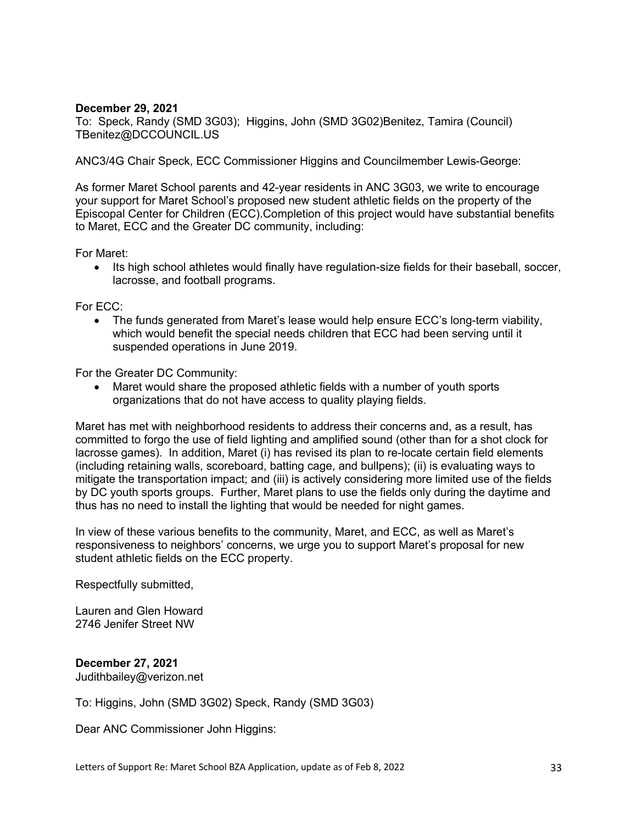### **December 29, 2021**

To: Speck, Randy (SMD 3G03); Higgins, John (SMD 3G02)Benitez, Tamira (Council) TBenitez@DCCOUNCIL.US

ANC3/4G Chair Speck, ECC Commissioner Higgins and Councilmember Lewis-George:

As former Maret School parents and 42-year residents in ANC 3G03, we write to encourage your support for Maret School's proposed new student athletic fields on the property of the Episcopal Center for Children (ECC).Completion of this project would have substantial benefits to Maret, ECC and the Greater DC community, including:

For Maret:

• Its high school athletes would finally have regulation-size fields for their baseball, soccer, lacrosse, and football programs.

For ECC:

• The funds generated from Maret's lease would help ensure ECC's long-term viability, which would benefit the special needs children that ECC had been serving until it suspended operations in June 2019.

For the Greater DC Community:

• Maret would share the proposed athletic fields with a number of youth sports organizations that do not have access to quality playing fields.

Maret has met with neighborhood residents to address their concerns and, as a result, has committed to forgo the use of field lighting and amplified sound (other than for a shot clock for lacrosse games). In addition, Maret (i) has revised its plan to re-locate certain field elements (including retaining walls, scoreboard, batting cage, and bullpens); (ii) is evaluating ways to mitigate the transportation impact; and (iii) is actively considering more limited use of the fields by DC youth sports groups. Further, Maret plans to use the fields only during the daytime and thus has no need to install the lighting that would be needed for night games.

In view of these various benefits to the community, Maret, and ECC, as well as Maret's responsiveness to neighbors' concerns, we urge you to support Maret's proposal for new student athletic fields on the ECC property.

Respectfully submitted,

Lauren and Glen Howard 2746 Jenifer Street NW

# **December 27, 2021**

Judithbailey@verizon.net

To: Higgins, John (SMD 3G02) Speck, Randy (SMD 3G03)

Dear ANC Commissioner John Higgins: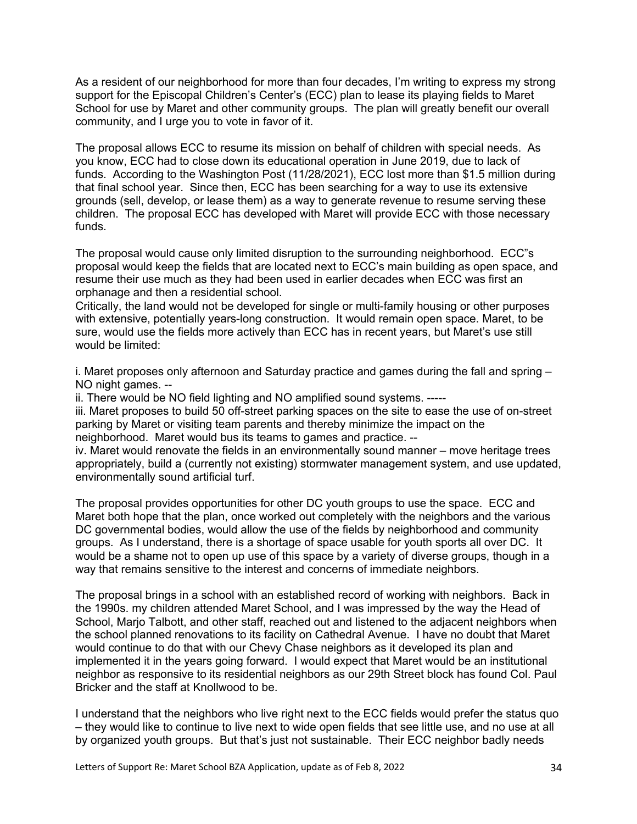As a resident of our neighborhood for more than four decades, I'm writing to express my strong support for the Episcopal Children's Center's (ECC) plan to lease its playing fields to Maret School for use by Maret and other community groups. The plan will greatly benefit our overall community, and I urge you to vote in favor of it.

The proposal allows ECC to resume its mission on behalf of children with special needs. As you know, ECC had to close down its educational operation in June 2019, due to lack of funds. According to the Washington Post (11/28/2021), ECC lost more than \$1.5 million during that final school year. Since then, ECC has been searching for a way to use its extensive grounds (sell, develop, or lease them) as a way to generate revenue to resume serving these children. The proposal ECC has developed with Maret will provide ECC with those necessary funds.

The proposal would cause only limited disruption to the surrounding neighborhood. ECC"s proposal would keep the fields that are located next to ECC's main building as open space, and resume their use much as they had been used in earlier decades when ECC was first an orphanage and then a residential school.

Critically, the land would not be developed for single or multi-family housing or other purposes with extensive, potentially years-long construction. It would remain open space. Maret, to be sure, would use the fields more actively than ECC has in recent years, but Maret's use still would be limited:

i. Maret proposes only afternoon and Saturday practice and games during the fall and spring – NO night games. --

ii. There would be NO field lighting and NO amplified sound systems. -----

iii. Maret proposes to build 50 off-street parking spaces on the site to ease the use of on-street parking by Maret or visiting team parents and thereby minimize the impact on the neighborhood. Maret would bus its teams to games and practice. --

iv. Maret would renovate the fields in an environmentally sound manner – move heritage trees appropriately, build a (currently not existing) stormwater management system, and use updated, environmentally sound artificial turf.

The proposal provides opportunities for other DC youth groups to use the space. ECC and Maret both hope that the plan, once worked out completely with the neighbors and the various DC governmental bodies, would allow the use of the fields by neighborhood and community groups. As I understand, there is a shortage of space usable for youth sports all over DC. It would be a shame not to open up use of this space by a variety of diverse groups, though in a way that remains sensitive to the interest and concerns of immediate neighbors.

The proposal brings in a school with an established record of working with neighbors. Back in the 1990s. my children attended Maret School, and I was impressed by the way the Head of School, Marjo Talbott, and other staff, reached out and listened to the adjacent neighbors when the school planned renovations to its facility on Cathedral Avenue. I have no doubt that Maret would continue to do that with our Chevy Chase neighbors as it developed its plan and implemented it in the years going forward. I would expect that Maret would be an institutional neighbor as responsive to its residential neighbors as our 29th Street block has found Col. Paul Bricker and the staff at Knollwood to be.

I understand that the neighbors who live right next to the ECC fields would prefer the status quo – they would like to continue to live next to wide open fields that see little use, and no use at all by organized youth groups. But that's just not sustainable. Their ECC neighbor badly needs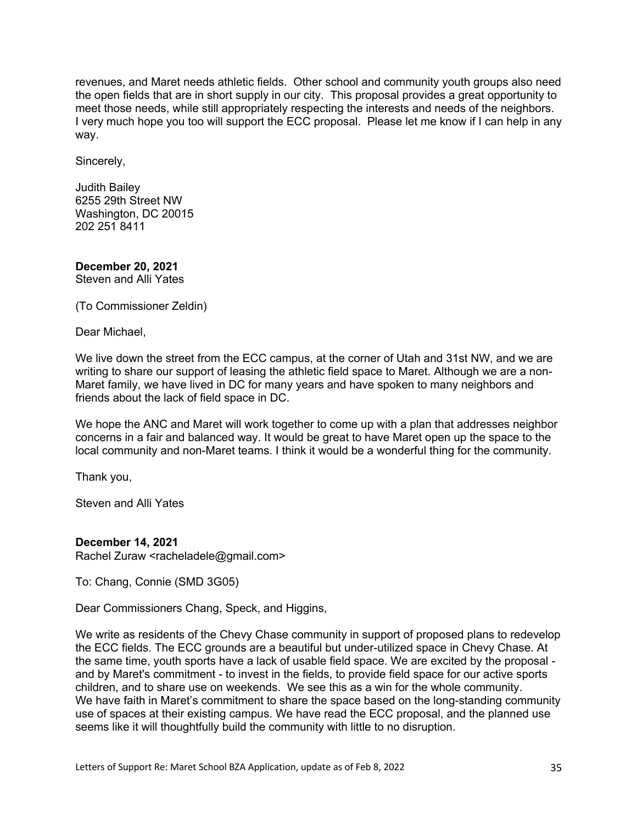revenues, and Maret needs athletic fields. Other school and community youth groups also need the open fields that are in short supply in our city. This proposal provides a great opportunity to meet those needs, while still appropriately respecting the interests and needs of the neighbors. I very much hope you too will support the ECC proposal. Please let me know if I can help in any way.

Sincerely,

Judith Bailey 6255 29th Street NW Washington, DC 20015 202 251 8411

**December 20, 2021** Steven and Alli Yates

(To Commissioner Zeldin)

Dear Michael,

We live down the street from the ECC campus, at the corner of Utah and 31st NW, and we are writing to share our support of leasing the athletic field space to Maret. Although we are a non-Maret family, we have lived in DC for many years and have spoken to many neighbors and friends about the lack of field space in DC.

We hope the ANC and Maret will work together to come up with a plan that addresses neighbor concerns in a fair and balanced way. It would be great to have Maret open up the space to the local community and non-Maret teams. I think it would be a wonderful thing for the community.

Thank you,

Steven and Alli Yates

### **December 14, 2021**

Rachel Zuraw <racheladele@gmail.com>

To: Chang, Connie (SMD 3G05)

Dear Commissioners Chang, Speck, and Higgins,

We write as residents of the Chevy Chase community in support of proposed plans to redevelop the ECC fields. The ECC grounds are a beautiful but under-utilized space in Chevy Chase. At the same time, youth sports have a lack of usable field space. We are excited by the proposal and by Maret's commitment - to invest in the fields, to provide field space for our active sports children, and to share use on weekends. We see this as a win for the whole community. We have faith in Maret's commitment to share the space based on the long-standing community use of spaces at their existing campus. We have read the ECC proposal, and the planned use seems like it will thoughtfully build the community with little to no disruption.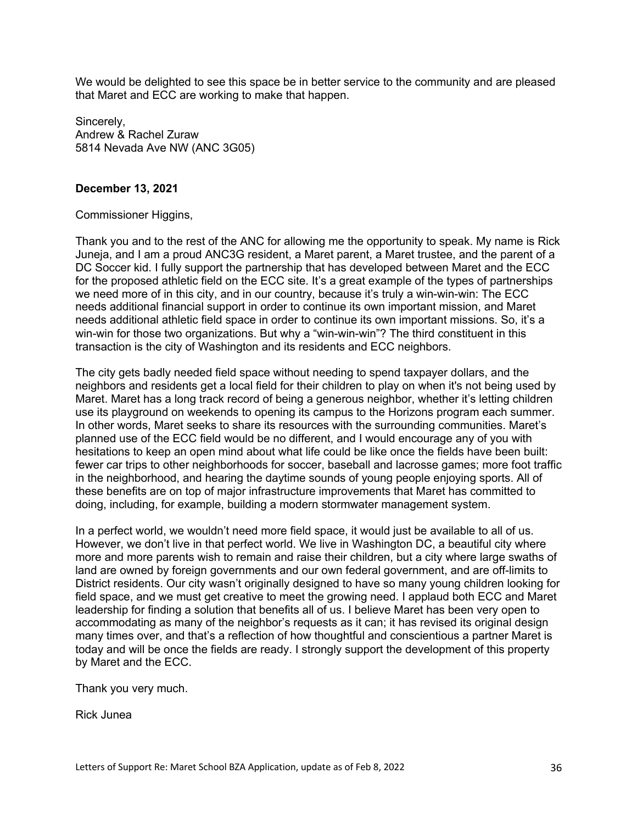We would be delighted to see this space be in better service to the community and are pleased that Maret and ECC are working to make that happen.

Sincerely, Andrew & Rachel Zuraw 5814 Nevada Ave NW (ANC 3G05)

### **December 13, 2021**

### Commissioner Higgins,

Thank you and to the rest of the ANC for allowing me the opportunity to speak. My name is Rick Juneja, and I am a proud ANC3G resident, a Maret parent, a Maret trustee, and the parent of a DC Soccer kid. I fully support the partnership that has developed between Maret and the ECC for the proposed athletic field on the ECC site. It's a great example of the types of partnerships we need more of in this city, and in our country, because it's truly a win-win-win: The ECC needs additional financial support in order to continue its own important mission, and Maret needs additional athletic field space in order to continue its own important missions. So, it's a win-win for those two organizations. But why a "win-win-win"? The third constituent in this transaction is the city of Washington and its residents and ECC neighbors.

The city gets badly needed field space without needing to spend taxpayer dollars, and the neighbors and residents get a local field for their children to play on when it's not being used by Maret. Maret has a long track record of being a generous neighbor, whether it's letting children use its playground on weekends to opening its campus to the Horizons program each summer. In other words, Maret seeks to share its resources with the surrounding communities. Maret's planned use of the ECC field would be no different, and I would encourage any of you with hesitations to keep an open mind about what life could be like once the fields have been built: fewer car trips to other neighborhoods for soccer, baseball and lacrosse games; more foot traffic in the neighborhood, and hearing the daytime sounds of young people enjoying sports. All of these benefits are on top of major infrastructure improvements that Maret has committed to doing, including, for example, building a modern stormwater management system.

In a perfect world, we wouldn't need more field space, it would just be available to all of us. However, we don't live in that perfect world. We live in Washington DC, a beautiful city where more and more parents wish to remain and raise their children, but a city where large swaths of land are owned by foreign governments and our own federal government, and are off-limits to District residents. Our city wasn't originally designed to have so many young children looking for field space, and we must get creative to meet the growing need. I applaud both ECC and Maret leadership for finding a solution that benefits all of us. I believe Maret has been very open to accommodating as many of the neighbor's requests as it can; it has revised its original design many times over, and that's a reflection of how thoughtful and conscientious a partner Maret is today and will be once the fields are ready. I strongly support the development of this property by Maret and the ECC.

Thank you very much.

Rick Junea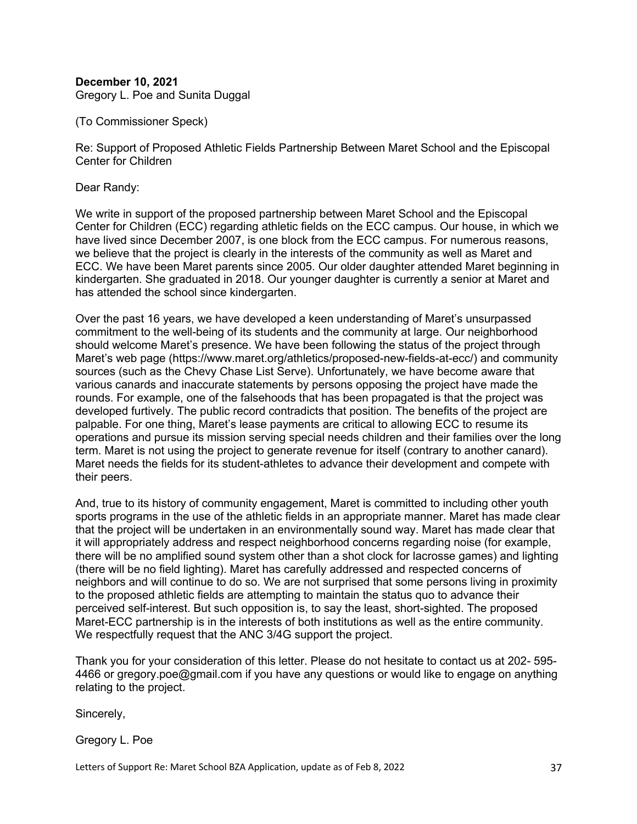# **December 10, 2021**

Gregory L. Poe and Sunita Duggal

(To Commissioner Speck)

Re: Support of Proposed Athletic Fields Partnership Between Maret School and the Episcopal Center for Children

Dear Randy:

We write in support of the proposed partnership between Maret School and the Episcopal Center for Children (ECC) regarding athletic fields on the ECC campus. Our house, in which we have lived since December 2007, is one block from the ECC campus. For numerous reasons, we believe that the project is clearly in the interests of the community as well as Maret and ECC. We have been Maret parents since 2005. Our older daughter attended Maret beginning in kindergarten. She graduated in 2018. Our younger daughter is currently a senior at Maret and has attended the school since kindergarten.

Over the past 16 years, we have developed a keen understanding of Maret's unsurpassed commitment to the well-being of its students and the community at large. Our neighborhood should welcome Maret's presence. We have been following the status of the project through Maret's web page (https://www.maret.org/athletics/proposed-new-fields-at-ecc/) and community sources (such as the Chevy Chase List Serve). Unfortunately, we have become aware that various canards and inaccurate statements by persons opposing the project have made the rounds. For example, one of the falsehoods that has been propagated is that the project was developed furtively. The public record contradicts that position. The benefits of the project are palpable. For one thing, Maret's lease payments are critical to allowing ECC to resume its operations and pursue its mission serving special needs children and their families over the long term. Maret is not using the project to generate revenue for itself (contrary to another canard). Maret needs the fields for its student-athletes to advance their development and compete with their peers.

And, true to its history of community engagement, Maret is committed to including other youth sports programs in the use of the athletic fields in an appropriate manner. Maret has made clear that the project will be undertaken in an environmentally sound way. Maret has made clear that it will appropriately address and respect neighborhood concerns regarding noise (for example, there will be no amplified sound system other than a shot clock for lacrosse games) and lighting (there will be no field lighting). Maret has carefully addressed and respected concerns of neighbors and will continue to do so. We are not surprised that some persons living in proximity to the proposed athletic fields are attempting to maintain the status quo to advance their perceived self-interest. But such opposition is, to say the least, short-sighted. The proposed Maret-ECC partnership is in the interests of both institutions as well as the entire community. We respectfully request that the ANC 3/4G support the project.

Thank you for your consideration of this letter. Please do not hesitate to contact us at 202- 595- 4466 or gregory.poe@gmail.com if you have any questions or would like to engage on anything relating to the project.

Sincerely,

Gregory L. Poe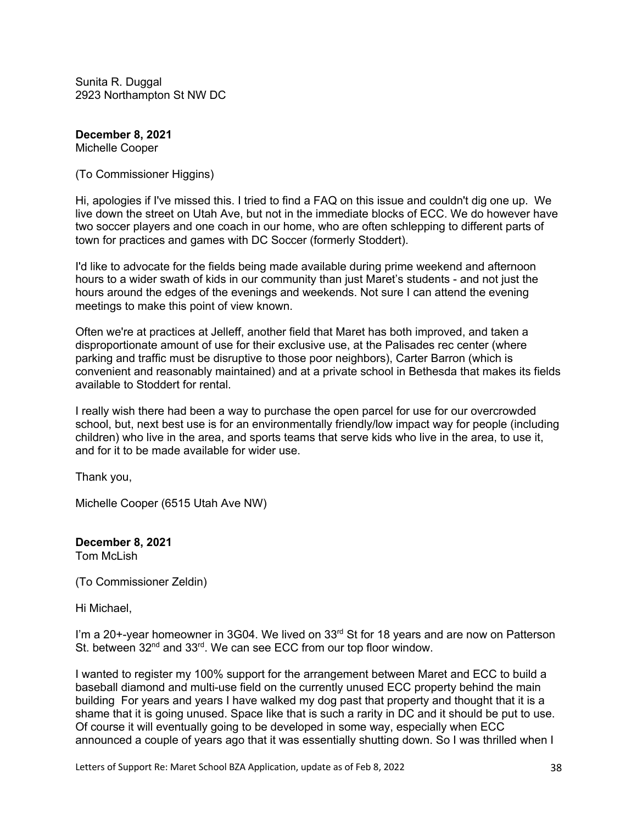Sunita R. Duggal 2923 Northampton St NW DC

**December 8, 2021** Michelle Cooper

(To Commissioner Higgins)

Hi, apologies if I've missed this. I tried to find a FAQ on this issue and couldn't dig one up. We live down the street on Utah Ave, but not in the immediate blocks of ECC. We do however have two soccer players and one coach in our home, who are often schlepping to different parts of town for practices and games with DC Soccer (formerly Stoddert).

I'd like to advocate for the fields being made available during prime weekend and afternoon hours to a wider swath of kids in our community than just Maret's students - and not just the hours around the edges of the evenings and weekends. Not sure I can attend the evening meetings to make this point of view known.

Often we're at practices at Jelleff, another field that Maret has both improved, and taken a disproportionate amount of use for their exclusive use, at the Palisades rec center (where parking and traffic must be disruptive to those poor neighbors), Carter Barron (which is convenient and reasonably maintained) and at a private school in Bethesda that makes its fields available to Stoddert for rental.

I really wish there had been a way to purchase the open parcel for use for our overcrowded school, but, next best use is for an environmentally friendly/low impact way for people (including children) who live in the area, and sports teams that serve kids who live in the area, to use it, and for it to be made available for wider use.

Thank you,

Michelle Cooper (6515 Utah Ave NW)

**December 8, 2021** Tom McLish

(To Commissioner Zeldin)

Hi Michael,

I'm a 20+-year homeowner in 3G04. We lived on 33<sup>rd</sup> St for 18 years and are now on Patterson St. between  $32^{nd}$  and  $33^{rd}$ . We can see ECC from our top floor window.

I wanted to register my 100% support for the arrangement between Maret and ECC to build a baseball diamond and multi-use field on the currently unused ECC property behind the main building For years and years I have walked my dog past that property and thought that it is a shame that it is going unused. Space like that is such a rarity in DC and it should be put to use. Of course it will eventually going to be developed in some way, especially when ECC announced a couple of years ago that it was essentially shutting down. So I was thrilled when I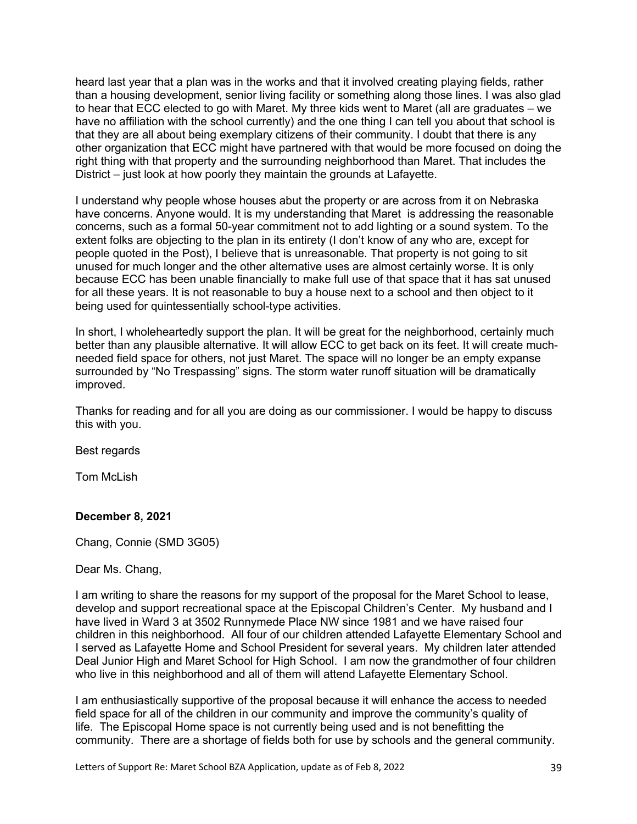heard last year that a plan was in the works and that it involved creating playing fields, rather than a housing development, senior living facility or something along those lines. I was also glad to hear that ECC elected to go with Maret. My three kids went to Maret (all are graduates – we have no affiliation with the school currently) and the one thing I can tell you about that school is that they are all about being exemplary citizens of their community. I doubt that there is any other organization that ECC might have partnered with that would be more focused on doing the right thing with that property and the surrounding neighborhood than Maret. That includes the District – just look at how poorly they maintain the grounds at Lafayette.

I understand why people whose houses abut the property or are across from it on Nebraska have concerns. Anyone would. It is my understanding that Maret is addressing the reasonable concerns, such as a formal 50-year commitment not to add lighting or a sound system. To the extent folks are objecting to the plan in its entirety (I don't know of any who are, except for people quoted in the Post), I believe that is unreasonable. That property is not going to sit unused for much longer and the other alternative uses are almost certainly worse. It is only because ECC has been unable financially to make full use of that space that it has sat unused for all these years. It is not reasonable to buy a house next to a school and then object to it being used for quintessentially school-type activities.

In short, I wholeheartedly support the plan. It will be great for the neighborhood, certainly much better than any plausible alternative. It will allow ECC to get back on its feet. It will create muchneeded field space for others, not just Maret. The space will no longer be an empty expanse surrounded by "No Trespassing" signs. The storm water runoff situation will be dramatically improved.

Thanks for reading and for all you are doing as our commissioner. I would be happy to discuss this with you.

Best regards

Tom McLish

### **December 8, 2021**

Chang, Connie (SMD 3G05)

Dear Ms. Chang,

I am writing to share the reasons for my support of the proposal for the Maret School to lease, develop and support recreational space at the Episcopal Children's Center. My husband and I have lived in Ward 3 at 3502 Runnymede Place NW since 1981 and we have raised four children in this neighborhood. All four of our children attended Lafayette Elementary School and I served as Lafayette Home and School President for several years. My children later attended Deal Junior High and Maret School for High School. I am now the grandmother of four children who live in this neighborhood and all of them will attend Lafayette Elementary School.

I am enthusiastically supportive of the proposal because it will enhance the access to needed field space for all of the children in our community and improve the community's quality of life. The Episcopal Home space is not currently being used and is not benefitting the community. There are a shortage of fields both for use by schools and the general community.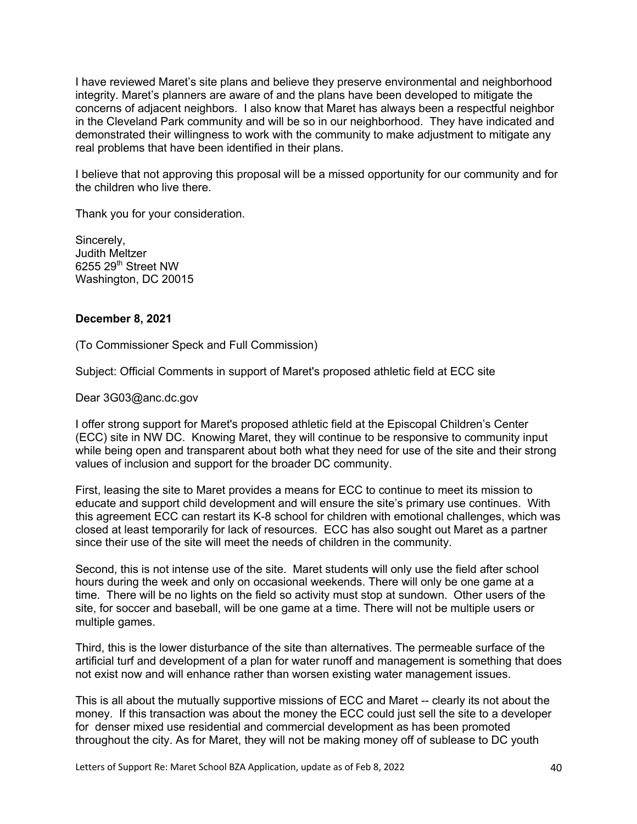I have reviewed Maret's site plans and believe they preserve environmental and neighborhood integrity. Maret's planners are aware of and the plans have been developed to mitigate the concerns of adjacent neighbors. I also know that Maret has always been a respectful neighbor in the Cleveland Park community and will be so in our neighborhood. They have indicated and demonstrated their willingness to work with the community to make adjustment to mitigate any real problems that have been identified in their plans.

I believe that not approving this proposal will be a missed opportunity for our community and for the children who live there.

Thank you for your consideration.

Sincerely, Judith Meltzer 6255 29th Street NW Washington, DC 20015

#### **December 8, 2021**

(To Commissioner Speck and Full Commission)

Subject: Official Comments in support of Maret's proposed athletic field at ECC site

Dear 3G03@anc.dc.gov

I offer strong support for Maret's proposed athletic field at the Episcopal Children's Center (ECC) site in NW DC. Knowing Maret, they will continue to be responsive to community input while being open and transparent about both what they need for use of the site and their strong values of inclusion and support for the broader DC community.

First, leasing the site to Maret provides a means for ECC to continue to meet its mission to educate and support child development and will ensure the site's primary use continues. With this agreement ECC can restart its K-8 school for children with emotional challenges, which was closed at least temporarily for lack of resources. ECC has also sought out Maret as a partner since their use of the site will meet the needs of children in the community.

Second, this is not intense use of the site. Maret students will only use the field after school hours during the week and only on occasional weekends. There will only be one game at a time. There will be no lights on the field so activity must stop at sundown. Other users of the site, for soccer and baseball, will be one game at a time. There will not be multiple users or multiple games.

Third, this is the lower disturbance of the site than alternatives. The permeable surface of the artificial turf and development of a plan for water runoff and management is something that does not exist now and will enhance rather than worsen existing water management issues.

This is all about the mutually supportive missions of ECC and Maret -- clearly its not about the money. If this transaction was about the money the ECC could just sell the site to a developer for denser mixed use residential and commercial development as has been promoted throughout the city. As for Maret, they will not be making money off of sublease to DC youth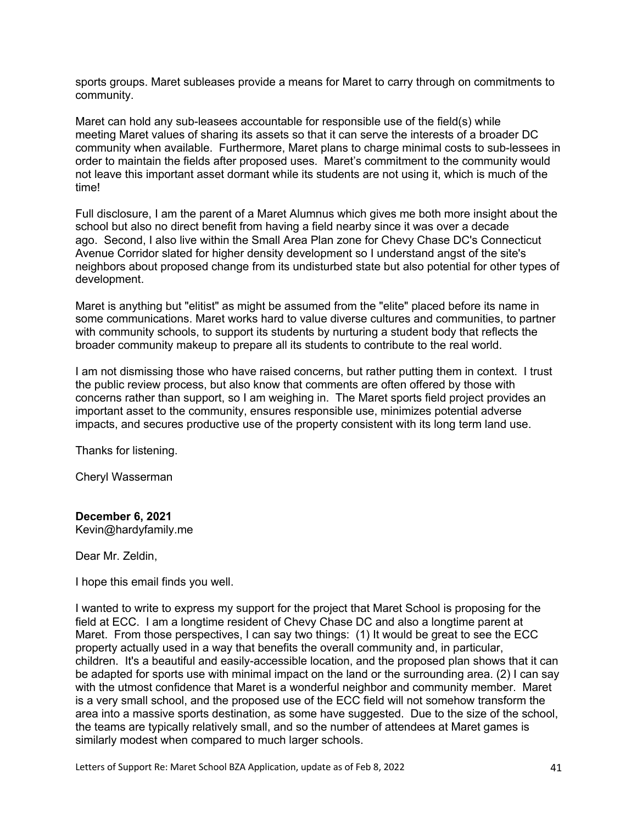sports groups. Maret subleases provide a means for Maret to carry through on commitments to community.

Maret can hold any sub-leasees accountable for responsible use of the field(s) while meeting Maret values of sharing its assets so that it can serve the interests of a broader DC community when available. Furthermore, Maret plans to charge minimal costs to sub-lessees in order to maintain the fields after proposed uses. Maret's commitment to the community would not leave this important asset dormant while its students are not using it, which is much of the time!

Full disclosure, I am the parent of a Maret Alumnus which gives me both more insight about the school but also no direct benefit from having a field nearby since it was over a decade ago. Second, I also live within the Small Area Plan zone for Chevy Chase DC's Connecticut Avenue Corridor slated for higher density development so I understand angst of the site's neighbors about proposed change from its undisturbed state but also potential for other types of development.

Maret is anything but "elitist" as might be assumed from the "elite" placed before its name in some communications. Maret works hard to value diverse cultures and communities, to partner with community schools, to support its students by nurturing a student body that reflects the broader community makeup to prepare all its students to contribute to the real world.

I am not dismissing those who have raised concerns, but rather putting them in context. I trust the public review process, but also know that comments are often offered by those with concerns rather than support, so I am weighing in. The Maret sports field project provides an important asset to the community, ensures responsible use, minimizes potential adverse impacts, and secures productive use of the property consistent with its long term land use.

Thanks for listening.

Cheryl Wasserman

**December 6, 2021** Kevin@hardyfamily.me

Dear Mr. Zeldin,

I hope this email finds you well.

I wanted to write to express my support for the project that Maret School is proposing for the field at ECC. I am a longtime resident of Chevy Chase DC and also a longtime parent at Maret. From those perspectives, I can say two things: (1) It would be great to see the ECC property actually used in a way that benefits the overall community and, in particular, children. It's a beautiful and easily-accessible location, and the proposed plan shows that it can be adapted for sports use with minimal impact on the land or the surrounding area. (2) I can say with the utmost confidence that Maret is a wonderful neighbor and community member. Maret is a very small school, and the proposed use of the ECC field will not somehow transform the area into a massive sports destination, as some have suggested. Due to the size of the school, the teams are typically relatively small, and so the number of attendees at Maret games is similarly modest when compared to much larger schools.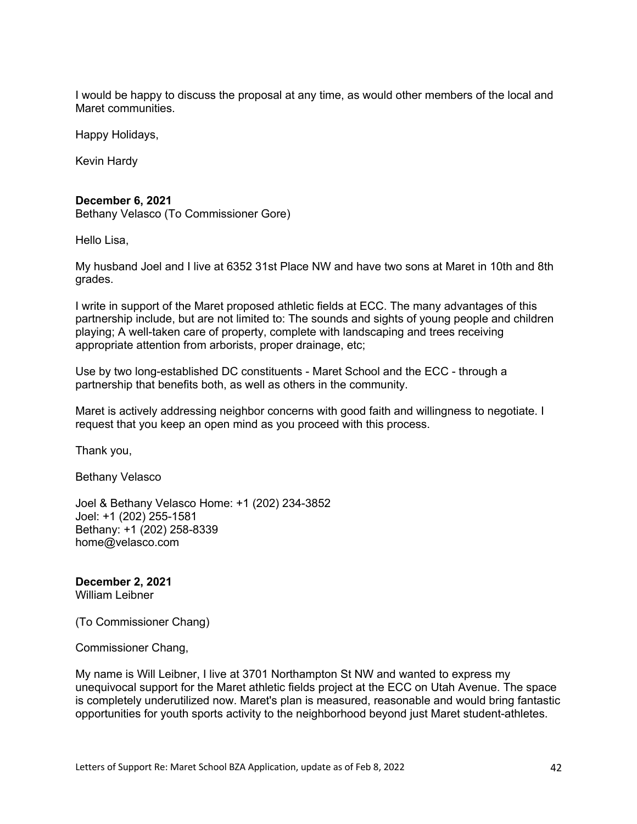I would be happy to discuss the proposal at any time, as would other members of the local and Maret communities.

Happy Holidays,

Kevin Hardy

#### **December 6, 2021**

Bethany Velasco (To Commissioner Gore)

Hello Lisa,

My husband Joel and I live at 6352 31st Place NW and have two sons at Maret in 10th and 8th grades.

I write in support of the Maret proposed athletic fields at ECC. The many advantages of this partnership include, but are not limited to: The sounds and sights of young people and children playing; A well-taken care of property, complete with landscaping and trees receiving appropriate attention from arborists, proper drainage, etc;

Use by two long-established DC constituents - Maret School and the ECC - through a partnership that benefits both, as well as others in the community.

Maret is actively addressing neighbor concerns with good faith and willingness to negotiate. I request that you keep an open mind as you proceed with this process.

Thank you,

Bethany Velasco

Joel & Bethany Velasco Home: +1 (202) 234-3852 Joel: +1 (202) 255-1581 Bethany: +1 (202) 258-8339 home@velasco.com

# **December 2, 2021**

William Leibner

(To Commissioner Chang)

Commissioner Chang,

My name is Will Leibner, I live at 3701 Northampton St NW and wanted to express my unequivocal support for the Maret athletic fields project at the ECC on Utah Avenue. The space is completely underutilized now. Maret's plan is measured, reasonable and would bring fantastic opportunities for youth sports activity to the neighborhood beyond just Maret student-athletes.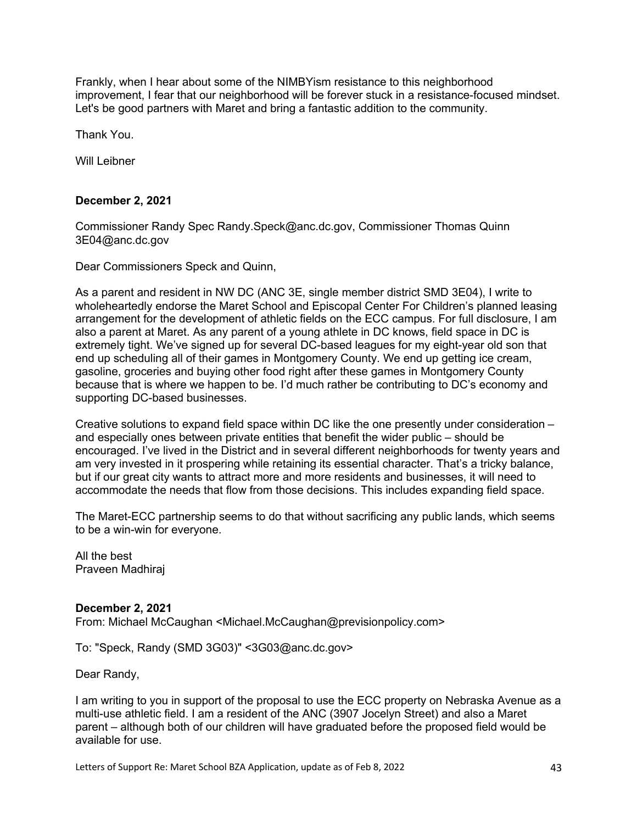Frankly, when I hear about some of the NIMBYism resistance to this neighborhood improvement, I fear that our neighborhood will be forever stuck in a resistance-focused mindset. Let's be good partners with Maret and bring a fantastic addition to the community.

Thank You.

Will Leibner

### **December 2, 2021**

Commissioner Randy Spec Randy.Speck@anc.dc.gov, Commissioner Thomas Quinn 3E04@anc.dc.gov

Dear Commissioners Speck and Quinn,

As a parent and resident in NW DC (ANC 3E, single member district SMD 3E04), I write to wholeheartedly endorse the Maret School and Episcopal Center For Children's planned leasing arrangement for the development of athletic fields on the ECC campus. For full disclosure, I am also a parent at Maret. As any parent of a young athlete in DC knows, field space in DC is extremely tight. We've signed up for several DC-based leagues for my eight-year old son that end up scheduling all of their games in Montgomery County. We end up getting ice cream, gasoline, groceries and buying other food right after these games in Montgomery County because that is where we happen to be. I'd much rather be contributing to DC's economy and supporting DC-based businesses.

Creative solutions to expand field space within DC like the one presently under consideration – and especially ones between private entities that benefit the wider public – should be encouraged. I've lived in the District and in several different neighborhoods for twenty years and am very invested in it prospering while retaining its essential character. That's a tricky balance, but if our great city wants to attract more and more residents and businesses, it will need to accommodate the needs that flow from those decisions. This includes expanding field space.

The Maret-ECC partnership seems to do that without sacrificing any public lands, which seems to be a win-win for everyone.

All the best Praveen Madhiraj

### **December 2, 2021**

From: Michael McCaughan <Michael.McCaughan@previsionpolicy.com>

To: "Speck, Randy (SMD 3G03)" <3G03@anc.dc.gov>

Dear Randy,

I am writing to you in support of the proposal to use the ECC property on Nebraska Avenue as a multi-use athletic field. I am a resident of the ANC (3907 Jocelyn Street) and also a Maret parent – although both of our children will have graduated before the proposed field would be available for use.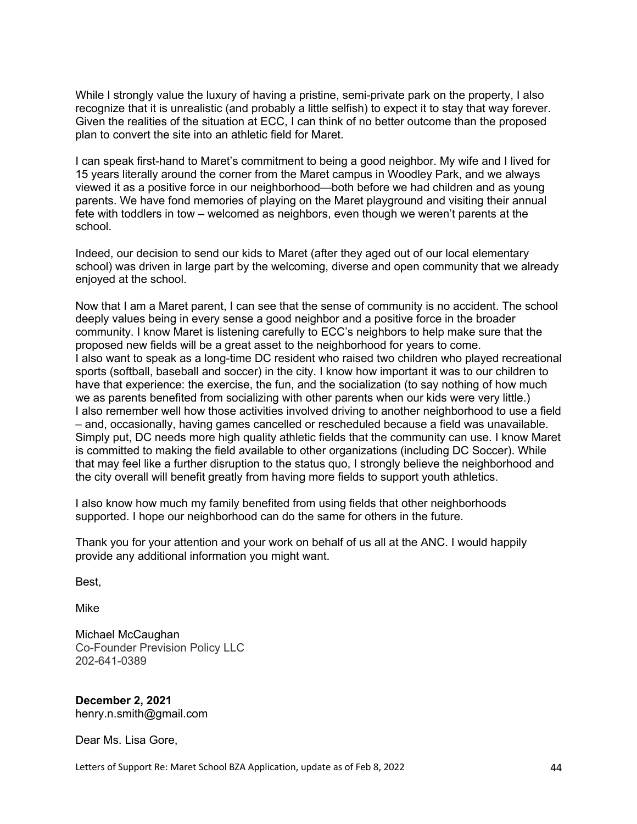While I strongly value the luxury of having a pristine, semi-private park on the property, I also recognize that it is unrealistic (and probably a little selfish) to expect it to stay that way forever. Given the realities of the situation at ECC, I can think of no better outcome than the proposed plan to convert the site into an athletic field for Maret.

I can speak first-hand to Maret's commitment to being a good neighbor. My wife and I lived for 15 years literally around the corner from the Maret campus in Woodley Park, and we always viewed it as a positive force in our neighborhood—both before we had children and as young parents. We have fond memories of playing on the Maret playground and visiting their annual fete with toddlers in tow – welcomed as neighbors, even though we weren't parents at the school.

Indeed, our decision to send our kids to Maret (after they aged out of our local elementary school) was driven in large part by the welcoming, diverse and open community that we already enjoyed at the school.

Now that I am a Maret parent, I can see that the sense of community is no accident. The school deeply values being in every sense a good neighbor and a positive force in the broader community. I know Maret is listening carefully to ECC's neighbors to help make sure that the proposed new fields will be a great asset to the neighborhood for years to come. I also want to speak as a long-time DC resident who raised two children who played recreational sports (softball, baseball and soccer) in the city. I know how important it was to our children to have that experience: the exercise, the fun, and the socialization (to say nothing of how much we as parents benefited from socializing with other parents when our kids were very little.) I also remember well how those activities involved driving to another neighborhood to use a field – and, occasionally, having games cancelled or rescheduled because a field was unavailable. Simply put, DC needs more high quality athletic fields that the community can use. I know Maret is committed to making the field available to other organizations (including DC Soccer). While that may feel like a further disruption to the status quo, I strongly believe the neighborhood and the city overall will benefit greatly from having more fields to support youth athletics.

I also know how much my family benefited from using fields that other neighborhoods supported. I hope our neighborhood can do the same for others in the future.

Thank you for your attention and your work on behalf of us all at the ANC. I would happily provide any additional information you might want.

Best,

Mike

Michael McCaughan Co-Founder Prevision Policy LLC 202-641-0389

**December 2, 2021** henry.n.smith@gmail.com

Dear Ms. Lisa Gore,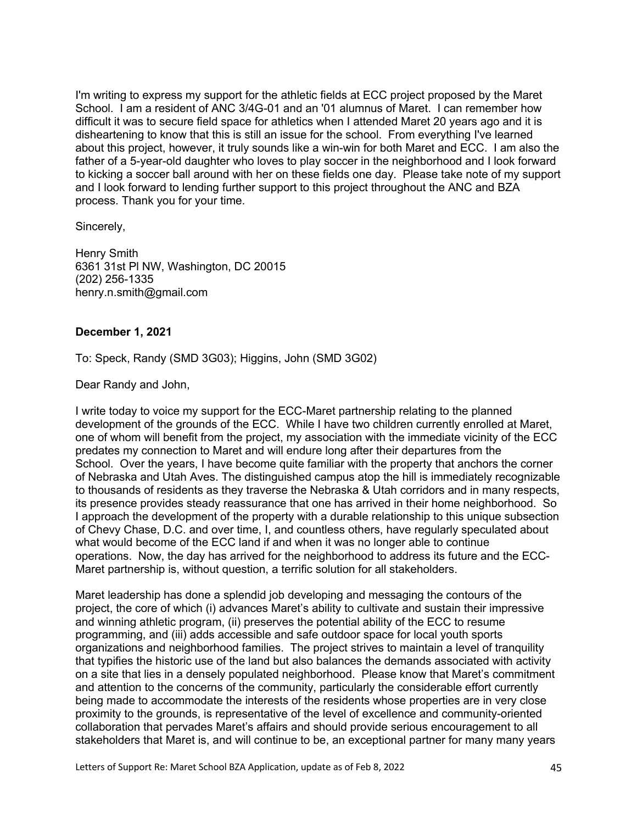I'm writing to express my support for the athletic fields at ECC project proposed by the Maret School. I am a resident of ANC 3/4G-01 and an '01 alumnus of Maret. I can remember how difficult it was to secure field space for athletics when I attended Maret 20 years ago and it is disheartening to know that this is still an issue for the school. From everything I've learned about this project, however, it truly sounds like a win-win for both Maret and ECC. I am also the father of a 5-year-old daughter who loves to play soccer in the neighborhood and I look forward to kicking a soccer ball around with her on these fields one day. Please take note of my support and I look forward to lending further support to this project throughout the ANC and BZA process. Thank you for your time.

Sincerely,

Henry Smith 6361 31st Pl NW, Washington, DC 20015 (202) 256-1335 henry.n.smith@gmail.com

# **December 1, 2021**

To: Speck, Randy (SMD 3G03); Higgins, John (SMD 3G02)

Dear Randy and John,

I write today to voice my support for the ECC-Maret partnership relating to the planned development of the grounds of the ECC. While I have two children currently enrolled at Maret, one of whom will benefit from the project, my association with the immediate vicinity of the ECC predates my connection to Maret and will endure long after their departures from the School. Over the years, I have become quite familiar with the property that anchors the corner of Nebraska and Utah Aves. The distinguished campus atop the hill is immediately recognizable to thousands of residents as they traverse the Nebraska & Utah corridors and in many respects, its presence provides steady reassurance that one has arrived in their home neighborhood. So I approach the development of the property with a durable relationship to this unique subsection of Chevy Chase, D.C. and over time, I, and countless others, have regularly speculated about what would become of the ECC land if and when it was no longer able to continue operations. Now, the day has arrived for the neighborhood to address its future and the ECC-Maret partnership is, without question, a terrific solution for all stakeholders.

Maret leadership has done a splendid job developing and messaging the contours of the project, the core of which (i) advances Maret's ability to cultivate and sustain their impressive and winning athletic program, (ii) preserves the potential ability of the ECC to resume programming, and (iii) adds accessible and safe outdoor space for local youth sports organizations and neighborhood families. The project strives to maintain a level of tranquility that typifies the historic use of the land but also balances the demands associated with activity on a site that lies in a densely populated neighborhood. Please know that Maret's commitment and attention to the concerns of the community, particularly the considerable effort currently being made to accommodate the interests of the residents whose properties are in very close proximity to the grounds, is representative of the level of excellence and community-oriented collaboration that pervades Maret's affairs and should provide serious encouragement to all stakeholders that Maret is, and will continue to be, an exceptional partner for many many years